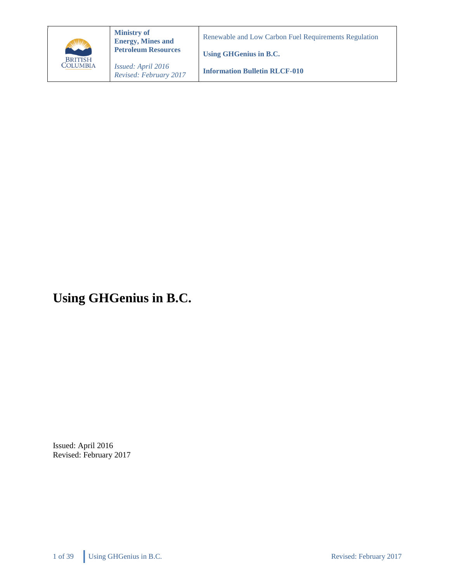

**Ministry of Energy, Mines and Petroleum Resources**

*Issued: April 2016 Revised: February 2017* Renewable and Low Carbon Fuel Requirements Regulation

**Using GHGenius in B.C.**

**Information Bulletin RLCF-010**

# **Using GHGenius in B.C.**

Issued: April 2016 Revised: February 2017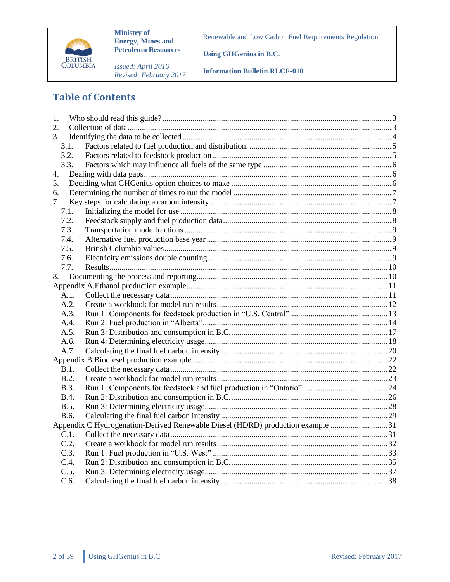

**Ministry of Energy, Mines and Petroleum Resources**

*Issued: April 2016 Revised: February 2017* Renewable and Low Carbon Fuel Requirements Regulation

**Using GHGenius in B.C.**

**Information Bulletin RLCF-010**

# **Table of Contents**

| 1.          |                                                                                |  |
|-------------|--------------------------------------------------------------------------------|--|
| 2.          |                                                                                |  |
| 3.          |                                                                                |  |
| 3.1.        |                                                                                |  |
| 3.2.        |                                                                                |  |
| 3.3.        |                                                                                |  |
| 4.          |                                                                                |  |
| 5.          |                                                                                |  |
| 6.          |                                                                                |  |
| 7.          |                                                                                |  |
| 7.1.        |                                                                                |  |
| 7.2.        |                                                                                |  |
| 7.3.        |                                                                                |  |
| 7.4.        |                                                                                |  |
| 7.5.        |                                                                                |  |
| 7.6.        |                                                                                |  |
| 7.7.        |                                                                                |  |
| 8.          |                                                                                |  |
|             |                                                                                |  |
| A.1.        |                                                                                |  |
| A.2.        |                                                                                |  |
| A.3.        |                                                                                |  |
| A.4.        |                                                                                |  |
| A.5.        |                                                                                |  |
| A.6.        |                                                                                |  |
| A.7.        |                                                                                |  |
|             |                                                                                |  |
| B.1.        |                                                                                |  |
| B.2.        |                                                                                |  |
| <b>B.3.</b> |                                                                                |  |
| <b>B.4.</b> |                                                                                |  |
| B.5.        |                                                                                |  |
| B.6.        |                                                                                |  |
|             | Appendix C.Hydrogenation-Derived Renewable Diesel (HDRD) production example 31 |  |
| C.1.        |                                                                                |  |
| C.2.        |                                                                                |  |
| C.3.        |                                                                                |  |
| C.4.        |                                                                                |  |
| C.5.        |                                                                                |  |
| C.6.        |                                                                                |  |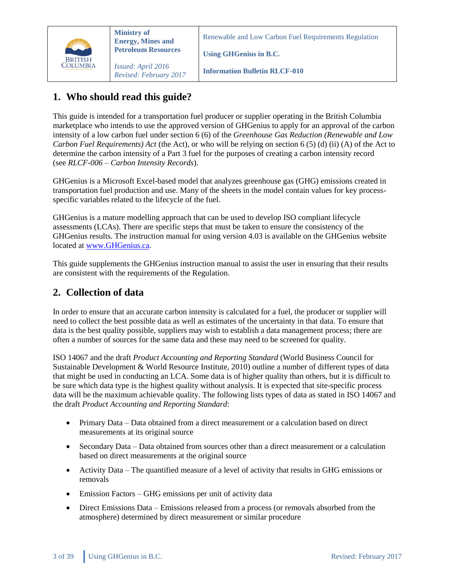

Renewable and Low Carbon Fuel Requirements Regulation

**Using GHGenius in B.C.**

**Information Bulletin RLCF-010**

# <span id="page-2-0"></span>**1. Who should read this guide?**

This guide is intended for a transportation fuel producer or supplier operating in the British Columbia marketplace who intends to use the approved version of GHGenius to apply for an approval of the carbon intensity of a low carbon fuel under section 6 (6) of the *Greenhouse Gas Reduction (Renewable and Low Carbon Fuel Requirements) Act* (the Act), or who will be relying on section 6 (5) (d) (ii) (A) of the Act to determine the carbon intensity of a Part 3 fuel for the purposes of creating a carbon intensity record (see *RLCF-006 – Carbon Intensity Records*).

GHGenius is a Microsoft Excel-based model that analyzes greenhouse gas (GHG) emissions created in transportation fuel production and use. Many of the sheets in the model contain values for key processspecific variables related to the lifecycle of the fuel.

GHGenius is a mature modelling approach that can be used to develop ISO compliant lifecycle assessments (LCAs). There are specific steps that must be taken to ensure the consistency of the GHGenius results. The instruction manual for using version 4.03 is available on the GHGenius website located at [www.GHGenius.ca.](http://www.ghgenius.ca/)

This guide supplements the GHGenius instruction manual to assist the user in ensuring that their results are consistent with the requirements of the Regulation.

# <span id="page-2-1"></span>**2. Collection of data**

In order to ensure that an accurate carbon intensity is calculated for a fuel, the producer or supplier will need to collect the best possible data as well as estimates of the uncertainty in that data. To ensure that data is the best quality possible, suppliers may wish to establish a data management process; there are often a number of sources for the same data and these may need to be screened for quality.

ISO 14067 and the draft *Product Accounting and Reporting Standard* (World Business Council for Sustainable Development & World Resource Institute, 2010) outline a number of different types of data that might be used in conducting an LCA. Some data is of higher quality than others, but it is difficult to be sure which data type is the highest quality without analysis. It is expected that site-specific process data will be the maximum achievable quality. The following lists types of data as stated in ISO 14067 and the draft *Product Accounting and Reporting Standard*:

- Primary Data Data obtained from a direct measurement or a calculation based on direct measurements at its original source
- Secondary Data Data obtained from sources other than a direct measurement or a calculation based on direct measurements at the original source
- Activity Data The quantified measure of a level of activity that results in GHG emissions or removals
- Emission Factors GHG emissions per unit of activity data
- Direct Emissions Data Emissions released from a process (or removals absorbed from the atmosphere) determined by direct measurement or similar procedure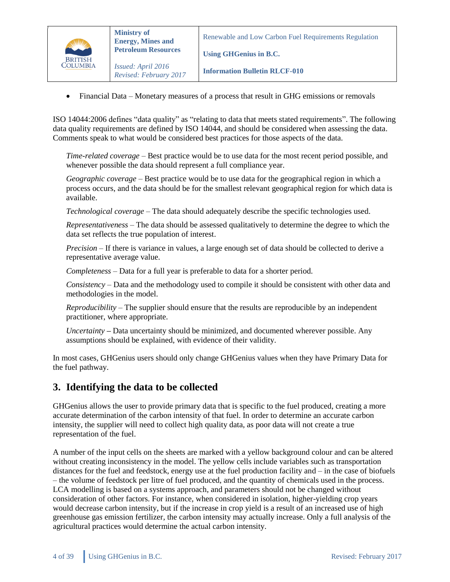

*Revised: February 2017*

**Using GHGenius in B.C.**

**Information Bulletin RLCF-010**

• Financial Data – Monetary measures of a process that result in GHG emissions or removals

ISO 14044:2006 defines "data quality" as "relating to data that meets stated requirements". The following data quality requirements are defined by ISO 14044, and should be considered when assessing the data. Comments speak to what would be considered best practices for those aspects of the data.

*Time-related coverage* – Best practice would be to use data for the most recent period possible, and whenever possible the data should represent a full compliance year.

*Geographic coverage* – Best practice would be to use data for the geographical region in which a process occurs, and the data should be for the smallest relevant geographical region for which data is available.

*Technological coverage* – The data should adequately describe the specific technologies used.

*Representativeness* – The data should be assessed qualitatively to determine the degree to which the data set reflects the true population of interest.

*Precision* – If there is variance in values, a large enough set of data should be collected to derive a representative average value.

*Completeness* – Data for a full year is preferable to data for a shorter period.

*Consistency* – Data and the methodology used to compile it should be consistent with other data and methodologies in the model.

*Reproducibility* – The supplier should ensure that the results are reproducible by an independent practitioner, where appropriate.

*Uncertainty* **–** Data uncertainty should be minimized, and documented wherever possible. Any assumptions should be explained, with evidence of their validity.

In most cases, GHGenius users should only change GHGenius values when they have Primary Data for the fuel pathway.

### <span id="page-3-0"></span>**3. Identifying the data to be collected**

GHGenius allows the user to provide primary data that is specific to the fuel produced, creating a more accurate determination of the carbon intensity of that fuel. In order to determine an accurate carbon intensity, the supplier will need to collect high quality data, as poor data will not create a true representation of the fuel.

A number of the input cells on the sheets are marked with a yellow background colour and can be altered without creating inconsistency in the model. The yellow cells include variables such as transportation distances for the fuel and feedstock, energy use at the fuel production facility and – in the case of biofuels – the volume of feedstock per litre of fuel produced, and the quantity of chemicals used in the process. LCA modelling is based on a systems approach, and parameters should not be changed without consideration of other factors. For instance, when considered in isolation, higher-yielding crop years would decrease carbon intensity, but if the increase in crop yield is a result of an increased use of high greenhouse gas emission fertilizer, the carbon intensity may actually increase. Only a full analysis of the agricultural practices would determine the actual carbon intensity.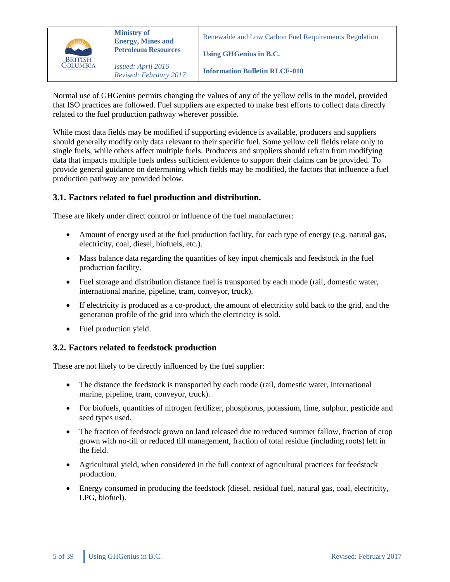

**Information Bulletin RLCF-010**

**Using GHGenius in B.C.**

Normal use of GHGenius permits changing the values of any of the yellow cells in the model, provided that ISO practices are followed. Fuel suppliers are expected to make best efforts to collect data directly related to the fuel production pathway wherever possible.

While most data fields may be modified if supporting evidence is available, producers and suppliers should generally modify only data relevant to their specific fuel. Some yellow cell fields relate only to single fuels, while others affect multiple fuels. Producers and suppliers should refrain from modifying data that impacts multiple fuels unless sufficient evidence to support their claims can be provided. To provide general guidance on determining which fields may be modified, the factors that influence a fuel production pathway are provided below.

#### <span id="page-4-0"></span>**3.1. Factors related to fuel production and distribution.**

These are likely under direct control or influence of the fuel manufacturer:

- Amount of energy used at the fuel production facility, for each type of energy (e.g. natural gas, electricity, coal, diesel, biofuels, etc.).
- Mass balance data regarding the quantities of key input chemicals and feedstock in the fuel production facility.
- Fuel storage and distribution distance fuel is transported by each mode (rail, domestic water, international marine, pipeline, tram, conveyor, truck).
- If electricity is produced as a co-product, the amount of electricity sold back to the grid, and the generation profile of the grid into which the electricity is sold.
- Fuel production yield.

#### <span id="page-4-1"></span>**3.2. Factors related to feedstock production**

These are not likely to be directly influenced by the fuel supplier:

- The distance the feedstock is transported by each mode (rail, domestic water, international marine, pipeline, tram, conveyor, truck).
- For biofuels, quantities of nitrogen fertilizer, phosphorus, potassium, lime, sulphur, pesticide and seed types used.
- The fraction of feedstock grown on land released due to reduced summer fallow, fraction of crop grown with no-till or reduced till management, fraction of total residue (including roots) left in the field.
- Agricultural yield, when considered in the full context of agricultural practices for feedstock production.
- Energy consumed in producing the feedstock (diesel, residual fuel, natural gas, coal, electricity, LPG, biofuel).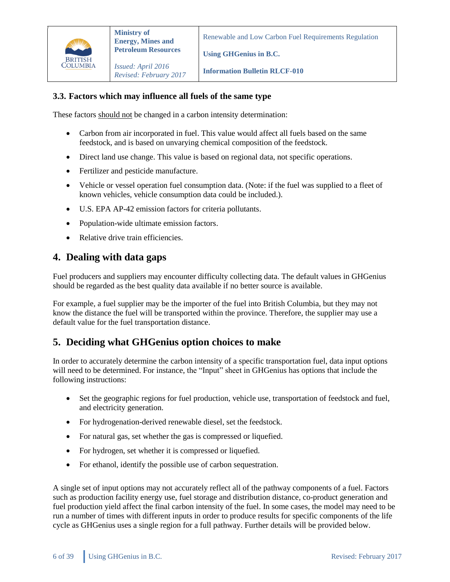

**Using GHGenius in B.C.**

*Issued: April 2016 Revised: February 2017*

**Information Bulletin RLCF-010**

#### <span id="page-5-0"></span>**3.3. Factors which may influence all fuels of the same type**

These factors should not be changed in a carbon intensity determination:

- Carbon from air incorporated in fuel. This value would affect all fuels based on the same feedstock, and is based on unvarying chemical composition of the feedstock.
- Direct land use change. This value is based on regional data, not specific operations.
- Fertilizer and pesticide manufacture.
- Vehicle or vessel operation fuel consumption data. (Note: if the fuel was supplied to a fleet of known vehicles, vehicle consumption data could be included.).
- U.S. EPA AP-42 emission factors for criteria pollutants.
- Population-wide ultimate emission factors.
- Relative drive train efficiencies.

#### <span id="page-5-1"></span>**4. Dealing with data gaps**

Fuel producers and suppliers may encounter difficulty collecting data. The default values in GHGenius should be regarded as the best quality data available if no better source is available.

For example, a fuel supplier may be the importer of the fuel into British Columbia, but they may not know the distance the fuel will be transported within the province. Therefore, the supplier may use a default value for the fuel transportation distance.

### <span id="page-5-2"></span>**5. Deciding what GHGenius option choices to make**

In order to accurately determine the carbon intensity of a specific transportation fuel, data input options will need to be determined. For instance, the "Input" sheet in GHGenius has options that include the following instructions:

- Set the geographic regions for fuel production, vehicle use, transportation of feedstock and fuel, and electricity generation.
- For hydrogenation-derived renewable diesel, set the feedstock.
- For natural gas, set whether the gas is compressed or liquefied.
- For hydrogen, set whether it is compressed or liquefied.
- For ethanol, identify the possible use of carbon sequestration.

A single set of input options may not accurately reflect all of the pathway components of a fuel. Factors such as production facility energy use, fuel storage and distribution distance, co-product generation and fuel production yield affect the final carbon intensity of the fuel. In some cases, the model may need to be run a number of times with different inputs in order to produce results for specific components of the life cycle as GHGenius uses a single region for a full pathway. Further details will be provided below.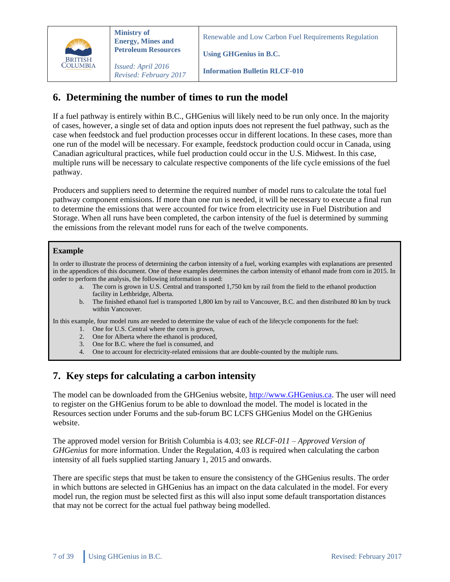

Renewable and Low Carbon Fuel Requirements Regulation

**Using GHGenius in B.C.**

**Information Bulletin RLCF-010**

# <span id="page-6-0"></span>**6. Determining the number of times to run the model**

If a fuel pathway is entirely within B.C., GHGenius will likely need to be run only once. In the majority of cases, however, a single set of data and option inputs does not represent the fuel pathway, such as the case when feedstock and fuel production processes occur in different locations. In these cases, more than one run of the model will be necessary. For example, feedstock production could occur in Canada, using Canadian agricultural practices, while fuel production could occur in the U.S. Midwest. In this case, multiple runs will be necessary to calculate respective components of the life cycle emissions of the fuel pathway.

Producers and suppliers need to determine the required number of model runs to calculate the total fuel pathway component emissions. If more than one run is needed, it will be necessary to execute a final run to determine the emissions that were accounted for twice from electricity use in Fuel Distribution and Storage. When all runs have been completed, the carbon intensity of the fuel is determined by summing the emissions from the relevant model runs for each of the twelve components.

#### **Example**

In order to illustrate the process of determining the carbon intensity of a fuel, working examples with explanations are presented in the appendices of this document. One of these examples determines the carbon intensity of ethanol made from corn in 2015. In order to perform the analysis, the following information is used:

- a. The corn is grown in U.S. Central and transported 1,750 km by rail from the field to the ethanol production facility in Lethbridge, Alberta.
	- b. The finished ethanol fuel is transported 1,800 km by rail to Vancouver, B.C. and then distributed 80 km by truck within Vancouver.

In this example, four model runs are needed to determine the value of each of the lifecycle components for the fuel:

- 1. One for U.S. Central where the corn is grown,
- 2. One for Alberta where the ethanol is produced,
- 3. One for B.C. where the fuel is consumed, and
- 4. One to account for electricity-related emissions that are double-counted by the multiple runs.

### <span id="page-6-1"></span>**7. Key steps for calculating a carbon intensity**

The model can be downloaded from the GHGenius website, [http://www.GHGenius.ca.](http://www.ghgenius.ca/) The user will need to register on the GHGenius forum to be able to download the model. The model is located in the Resources section under Forums and the sub-forum BC LCFS GHGenius Model on the GHGenius website.

The approved model version for British Columbia is 4.03; see *RLCF-011 – Approved Version of GHGenius* for more information. Under the Regulation, 4.03 is required when calculating the carbon intensity of all fuels supplied starting January 1, 2015 and onwards.

There are specific steps that must be taken to ensure the consistency of the GHGenius results. The order in which buttons are selected in GHGenius has an impact on the data calculated in the model. For every model run, the region must be selected first as this will also input some default transportation distances that may not be correct for the actual fuel pathway being modelled.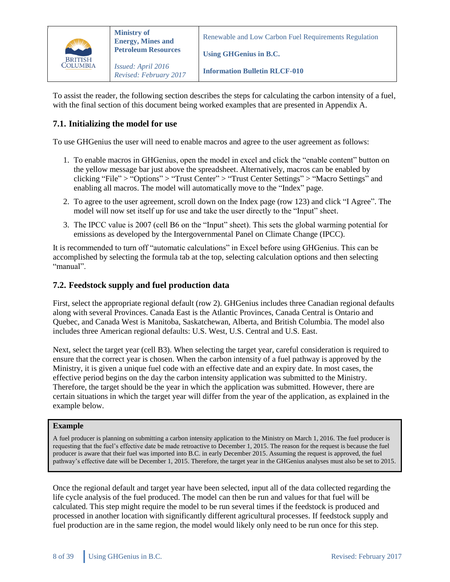

*Revised: February 2017*

**Using GHGenius in B.C.**

**Information Bulletin RLCF-010**

To assist the reader, the following section describes the steps for calculating the carbon intensity of a fuel, with the final section of this document being worked examples that are presented in Appendix A.

#### <span id="page-7-0"></span>**7.1. Initializing the model for use**

To use GHGenius the user will need to enable macros and agree to the user agreement as follows:

- 1. To enable macros in GHGenius, open the model in excel and click the "enable content" button on the yellow message bar just above the spreadsheet. Alternatively, macros can be enabled by clicking "File" > "Options" > "Trust Center" > "Trust Center Settings" > "Macro Settings" and enabling all macros. The model will automatically move to the "Index" page.
- 2. To agree to the user agreement, scroll down on the Index page (row 123) and click "I Agree". The model will now set itself up for use and take the user directly to the "Input" sheet.
- 3. The IPCC value is 2007 (cell B6 on the "Input" sheet). This sets the global warming potential for emissions as developed by the Intergovernmental Panel on Climate Change (IPCC).

It is recommended to turn off "automatic calculations" in Excel before using GHGenius. This can be accomplished by selecting the formula tab at the top, selecting calculation options and then selecting "manual".

#### <span id="page-7-1"></span>**7.2. Feedstock supply and fuel production data**

First, select the appropriate regional default (row 2). GHGenius includes three Canadian regional defaults along with several Provinces. Canada East is the Atlantic Provinces, Canada Central is Ontario and Quebec, and Canada West is Manitoba, Saskatchewan, Alberta, and British Columbia. The model also includes three American regional defaults: U.S. West, U.S. Central and U.S. East.

Next, select the target year (cell B3). When selecting the target year, careful consideration is required to ensure that the correct year is chosen. When the carbon intensity of a fuel pathway is approved by the Ministry, it is given a unique fuel code with an effective date and an expiry date. In most cases, the effective period begins on the day the carbon intensity application was submitted to the Ministry. Therefore, the target should be the year in which the application was submitted. However, there are certain situations in which the target year will differ from the year of the application, as explained in the example below.

#### **Example**

A fuel producer is planning on submitting a carbon intensity application to the Ministry on March 1, 2016. The fuel producer is requesting that the fuel's effective date be made retroactive to December 1, 2015. The reason for the request is because the fuel producer is aware that their fuel was imported into B.C. in early December 2015. Assuming the request is approved, the fuel pathway's effective date will be December 1, 2015. Therefore, the target year in the GHGenius analyses must also be set to 2015.

Once the regional default and target year have been selected, input all of the data collected regarding the life cycle analysis of the fuel produced. The model can then be run and values for that fuel will be calculated. This step might require the model to be run several times if the feedstock is produced and processed in another location with significantly different agricultural processes. If feedstock supply and fuel production are in the same region, the model would likely only need to be run once for this step.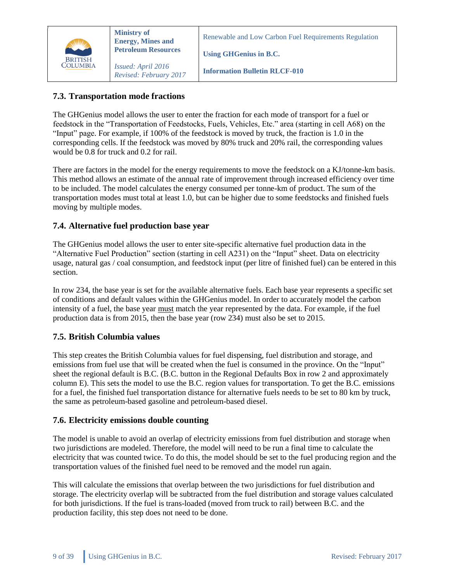

Renewable and Low Carbon Fuel Requirements Regulation

**Using GHGenius in B.C.**

**Information Bulletin RLCF-010**

#### <span id="page-8-0"></span>**7.3. Transportation mode fractions**

The GHGenius model allows the user to enter the fraction for each mode of transport for a fuel or feedstock in the "Transportation of Feedstocks, Fuels, Vehicles, Etc." area (starting in cell A68) on the "Input" page. For example, if 100% of the feedstock is moved by truck, the fraction is 1.0 in the corresponding cells. If the feedstock was moved by 80% truck and 20% rail, the corresponding values would be 0.8 for truck and 0.2 for rail.

There are factors in the model for the energy requirements to move the feedstock on a KJ/tonne-km basis. This method allows an estimate of the annual rate of improvement through increased efficiency over time to be included. The model calculates the energy consumed per tonne-km of product. The sum of the transportation modes must total at least 1.0, but can be higher due to some feedstocks and finished fuels moving by multiple modes.

#### <span id="page-8-1"></span>**7.4. Alternative fuel production base year**

The GHGenius model allows the user to enter site-specific alternative fuel production data in the "Alternative Fuel Production" section (starting in cell A231) on the "Input" sheet. Data on electricity usage, natural gas / coal consumption, and feedstock input (per litre of finished fuel) can be entered in this section.

In row 234, the base year is set for the available alternative fuels. Each base year represents a specific set of conditions and default values within the GHGenius model. In order to accurately model the carbon intensity of a fuel, the base year must match the year represented by the data. For example, if the fuel production data is from 2015, then the base year (row 234) must also be set to 2015.

#### <span id="page-8-2"></span>**7.5. British Columbia values**

This step creates the British Columbia values for fuel dispensing, fuel distribution and storage, and emissions from fuel use that will be created when the fuel is consumed in the province. On the "Input" sheet the regional default is B.C. (B.C. button in the Regional Defaults Box in row 2 and approximately column E). This sets the model to use the B.C. region values for transportation. To get the B.C. emissions for a fuel, the finished fuel transportation distance for alternative fuels needs to be set to 80 km by truck, the same as petroleum-based gasoline and petroleum-based diesel.

#### <span id="page-8-3"></span>**7.6. Electricity emissions double counting**

The model is unable to avoid an overlap of electricity emissions from fuel distribution and storage when two jurisdictions are modeled. Therefore, the model will need to be run a final time to calculate the electricity that was counted twice. To do this, the model should be set to the fuel producing region and the transportation values of the finished fuel need to be removed and the model run again.

This will calculate the emissions that overlap between the two jurisdictions for fuel distribution and storage. The electricity overlap will be subtracted from the fuel distribution and storage values calculated for both jurisdictions. If the fuel is trans-loaded (moved from truck to rail) between B.C. and the production facility, this step does not need to be done.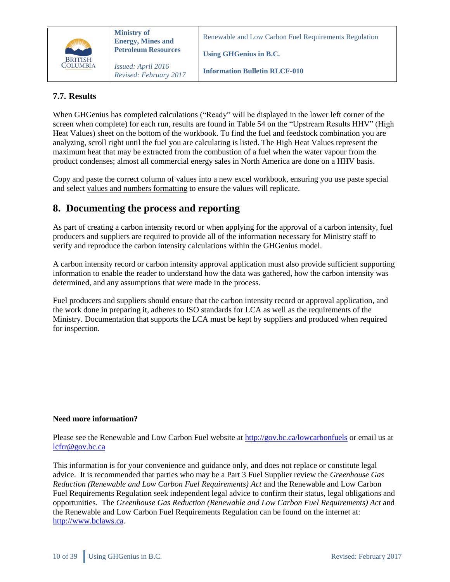

**Ministry of Energy, Mines and Petroleum Resources**

*Issued: April 2016 Revised: February 2017* Renewable and Low Carbon Fuel Requirements Regulation

**Using GHGenius in B.C.**

**Information Bulletin RLCF-010**

#### <span id="page-9-0"></span>**7.7. Results**

When GHGenius has completed calculations ("Ready" will be displayed in the lower left corner of the screen when complete) for each run, results are found in Table 54 on the "Upstream Results HHV" (High Heat Values) sheet on the bottom of the workbook. To find the fuel and feedstock combination you are analyzing, scroll right until the fuel you are calculating is listed. The High Heat Values represent the maximum heat that may be extracted from the combustion of a fuel when the water vapour from the product condenses; almost all commercial energy sales in North America are done on a HHV basis.

Copy and paste the correct column of values into a new excel workbook, ensuring you use paste special and select values and numbers formatting to ensure the values will replicate.

### <span id="page-9-1"></span>**8. Documenting the process and reporting**

As part of creating a carbon intensity record or when applying for the approval of a carbon intensity, fuel producers and suppliers are required to provide all of the information necessary for Ministry staff to verify and reproduce the carbon intensity calculations within the GHGenius model.

A carbon intensity record or carbon intensity approval application must also provide sufficient supporting information to enable the reader to understand how the data was gathered, how the carbon intensity was determined, and any assumptions that were made in the process.

Fuel producers and suppliers should ensure that the carbon intensity record or approval application, and the work done in preparing it, adheres to ISO standards for LCA as well as the requirements of the Ministry. Documentation that supports the LCA must be kept by suppliers and produced when required for inspection.

#### **Need more information?**

Please see the Renewable and Low Carbon Fuel website at<http://gov.bc.ca/lowcarbonfuels> or email us at [lcfrr@gov.bc.ca](mailto:lcfrr@gov.bc.ca)

This information is for your convenience and guidance only, and does not replace or constitute legal advice. It is recommended that parties who may be a Part 3 Fuel Supplier review the *Greenhouse Gas Reduction (Renewable and Low Carbon Fuel Requirements) Act* and the Renewable and Low Carbon Fuel Requirements Regulation seek independent legal advice to confirm their status, legal obligations and opportunities. The *Greenhouse Gas Reduction (Renewable and Low Carbon Fuel Requirements) Act* and the Renewable and Low Carbon Fuel Requirements Regulation can be found on the internet at: [http://www.bclaws.ca.](http://www.bclaws.ca/)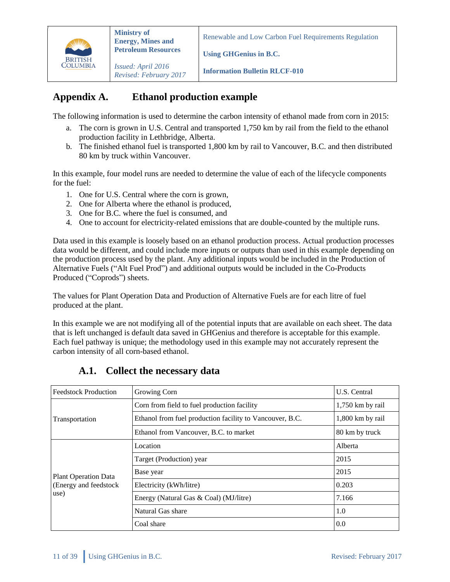

**Using GHGenius in B.C.**

*Issued: April 2016 Revised: February 2017*

**Information Bulletin RLCF-010**

# <span id="page-10-0"></span>**Appendix A. Ethanol production example**

The following information is used to determine the carbon intensity of ethanol made from corn in 2015:

- a. The corn is grown in U.S. Central and transported 1,750 km by rail from the field to the ethanol production facility in Lethbridge, Alberta.
- b. The finished ethanol fuel is transported 1,800 km by rail to Vancouver, B.C. and then distributed 80 km by truck within Vancouver.

In this example, four model runs are needed to determine the value of each of the lifecycle components for the fuel:

- 1. One for U.S. Central where the corn is grown,
- 2. One for Alberta where the ethanol is produced,
- 3. One for B.C. where the fuel is consumed, and
- 4. One to account for electricity-related emissions that are double-counted by the multiple runs.

Data used in this example is loosely based on an ethanol production process. Actual production processes data would be different, and could include more inputs or outputs than used in this example depending on the production process used by the plant. Any additional inputs would be included in the Production of Alternative Fuels ("Alt Fuel Prod") and additional outputs would be included in the Co-Products Produced ("Coprods") sheets.

The values for Plant Operation Data and Production of Alternative Fuels are for each litre of fuel produced at the plant.

In this example we are not modifying all of the potential inputs that are available on each sheet. The data that is left unchanged is default data saved in GHGenius and therefore is acceptable for this example. Each fuel pathway is unique; the methodology used in this example may not accurately represent the carbon intensity of all corn-based ethanol.

<span id="page-10-1"></span>

| <b>Feedstock Production</b> | Growing Corn                                             | U.S. Central       |
|-----------------------------|----------------------------------------------------------|--------------------|
|                             | Corn from field to fuel production facility              | $1,750$ km by rail |
| Transportation              | Ethanol from fuel production facility to Vancouver, B.C. | 1,800 km by rail   |
|                             | Ethanol from Vancouver, B.C. to market                   | 80 km by truck     |
|                             | Location                                                 | Alberta            |
|                             | Target (Production) year                                 | 2015               |
| <b>Plant Operation Data</b> | Base year                                                | 2015               |
| (Energy and feedstock)      | Electricity (kWh/litre)                                  | 0.203              |
| use)                        | Energy (Natural Gas & Coal) (MJ/litre)                   | 7.166              |
|                             | Natural Gas share                                        | 1.0                |
|                             | Coal share                                               | 0.0                |

### **A.1. Collect the necessary data**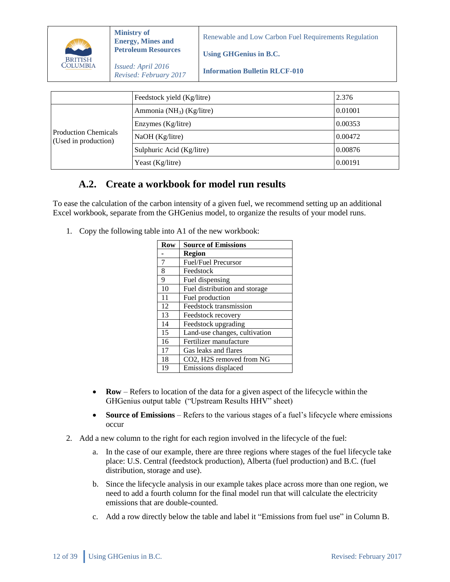|                | <b>Ministry of</b><br><b>Energy, Mines and</b> | Renewable and Low Carbon Fuel Requirements Regulation |  |  |
|----------------|------------------------------------------------|-------------------------------------------------------|--|--|
| <b>BRITISH</b> | <b>Petroleum Resources</b>                     | Using GHGenius in B.C.                                |  |  |
| COLUMBIA       | Issued: April 2016<br>Revised: February 2017   | <b>Information Bulletin RLCF-010</b>                  |  |  |
|                |                                                |                                                       |  |  |

|                                                     | Feedstock yield (Kg/litre)   | 2.376   |
|-----------------------------------------------------|------------------------------|---------|
|                                                     | Ammonia ( $NH3$ ) (Kg/litre) | 0.01001 |
|                                                     | Enzymes (Kg/litre)           | 0.00353 |
| <b>Production Chemicals</b><br>(Used in production) | NaOH (Kg/litre)              | 0.00472 |
|                                                     | Sulphuric Acid (Kg/litre)    | 0.00876 |
|                                                     | Yeast (Kg/litre)             | 0.00191 |

### <span id="page-11-0"></span>**A.2. Create a workbook for model run results**

To ease the calculation of the carbon intensity of a given fuel, we recommend setting up an additional Excel workbook, separate from the GHGenius model, to organize the results of your model runs.

1. Copy the following table into A1 of the new workbook:

| Row | <b>Source of Emissions</b>    |  |  |
|-----|-------------------------------|--|--|
|     | Region                        |  |  |
| 7   | <b>Fuel/Fuel Precursor</b>    |  |  |
| 8   | Feedstock                     |  |  |
| 9   | Fuel dispensing               |  |  |
| 10  | Fuel distribution and storage |  |  |
| 11  | Fuel production               |  |  |
| 12  | Feedstock transmission        |  |  |
| 13  | Feedstock recovery            |  |  |
| 14  | Feedstock upgrading           |  |  |
| 15  | Land-use changes, cultivation |  |  |
| 16  | Fertilizer manufacture        |  |  |
| 17  | Gas leaks and flares          |  |  |
| 18  | CO2, H2S removed from NG      |  |  |
| 19  | Emissions displaced           |  |  |

- **Row** Refers to location of the data for a given aspect of the lifecycle within the GHGenius output table ("Upstream Results HHV" sheet)
- Source of Emissions Refers to the various stages of a fuel's lifecycle where emissions occur
- 2. Add a new column to the right for each region involved in the lifecycle of the fuel:
	- a. In the case of our example, there are three regions where stages of the fuel lifecycle take place: U.S. Central (feedstock production), Alberta (fuel production) and B.C. (fuel distribution, storage and use).
	- b. Since the lifecycle analysis in our example takes place across more than one region, we need to add a fourth column for the final model run that will calculate the electricity emissions that are double-counted.
	- c. Add a row directly below the table and label it "Emissions from fuel use" in Column B.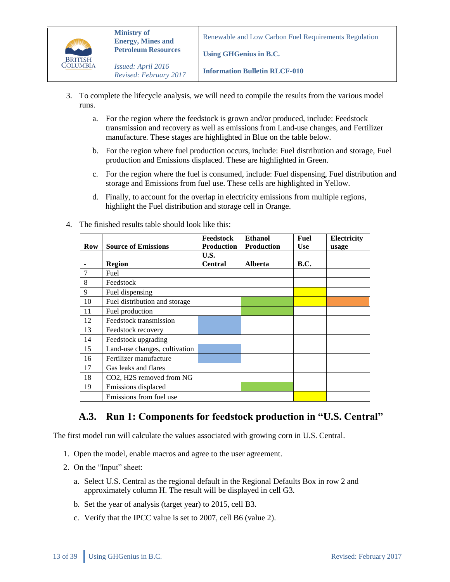

**Information Bulletin RLCF-010**

**Using GHGenius in B.C.**

- 3. To complete the lifecycle analysis, we will need to compile the results from the various model runs.
	- a. For the region where the feedstock is grown and/or produced, include: Feedstock transmission and recovery as well as emissions from Land-use changes, and Fertilizer manufacture. These stages are highlighted in Blue on the table below.
	- b. For the region where fuel production occurs, include: Fuel distribution and storage, Fuel production and Emissions displaced. These are highlighted in Green.
	- c. For the region where the fuel is consumed, include: Fuel dispensing, Fuel distribution and storage and Emissions from fuel use. These cells are highlighted in Yellow.
	- d. Finally, to account for the overlap in electricity emissions from multiple regions, highlight the Fuel distribution and storage cell in Orange.

|     |                               | Feedstock         | <b>Ethanol</b>    | Fuel       | Electricity |
|-----|-------------------------------|-------------------|-------------------|------------|-------------|
| Row | <b>Source of Emissions</b>    | <b>Production</b> | <b>Production</b> | <b>Use</b> | usage       |
|     |                               | U.S.              |                   |            |             |
|     | <b>Region</b>                 | <b>Central</b>    | <b>Alberta</b>    | B.C.       |             |
| 7   | Fuel                          |                   |                   |            |             |
| 8   | Feedstock                     |                   |                   |            |             |
| 9   | Fuel dispensing               |                   |                   |            |             |
| 10  | Fuel distribution and storage |                   |                   |            |             |
| 11  | Fuel production               |                   |                   |            |             |
| 12  | Feedstock transmission        |                   |                   |            |             |
| 13  | Feedstock recovery            |                   |                   |            |             |
| 14  | Feedstock upgrading           |                   |                   |            |             |
| 15  | Land-use changes, cultivation |                   |                   |            |             |
| 16  | Fertilizer manufacture        |                   |                   |            |             |
| 17  | Gas leaks and flares          |                   |                   |            |             |
| 18  | CO2, H2S removed from NG      |                   |                   |            |             |
| 19  | Emissions displaced           |                   |                   |            |             |
|     | Emissions from fuel use       |                   |                   |            |             |

4. The finished results table should look like this:

### <span id="page-12-0"></span>**A.3. Run 1: Components for feedstock production in "U.S. Central"**

The first model run will calculate the values associated with growing corn in U.S. Central.

- 1. Open the model, enable macros and agree to the user agreement.
- 2. On the "Input" sheet:
	- a. Select U.S. Central as the regional default in the Regional Defaults Box in row 2 and approximately column H. The result will be displayed in cell G3.
	- b. Set the year of analysis (target year) to 2015, cell B3.
	- c. Verify that the IPCC value is set to 2007, cell B6 (value 2).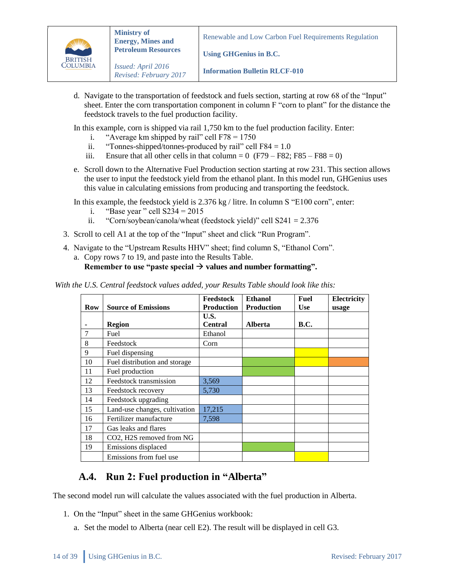

**Information Bulletin RLCF-010**

**Using GHGenius in B.C.**

d. Navigate to the transportation of feedstock and fuels section, starting at row 68 of the "Input" sheet. Enter the corn transportation component in column F "corn to plant" for the distance the feedstock travels to the fuel production facility.

In this example, corn is shipped via rail 1,750 km to the fuel production facility. Enter:

- i. "Average km shipped by rail" cell  $F78 = 1750$
- ii. "Tonnes-shipped/tonnes-produced by rail" cell  $F84 = 1.0$
- iii. Ensure that all other cells in that column =  $0$  (F79 F82; F85 F88 = 0)
- e. Scroll down to the Alternative Fuel Production section starting at row 231. This section allows the user to input the feedstock yield from the ethanol plant. In this model run, GHGenius uses this value in calculating emissions from producing and transporting the feedstock.

In this example, the feedstock yield is 2.376 kg / litre. In column S "E100 corn", enter:

- i. "Base year" cell  $S234 = 2015$
- ii. "Corn/soybean/canola/wheat (feedstock yield)" cell  $S241 = 2.376$
- 3. Scroll to cell A1 at the top of the "Input" sheet and click "Run Program".
- 4. Navigate to the "Upstream Results HHV" sheet; find column S, "Ethanol Corn".
	- a. Copy rows 7 to 19, and paste into the Results Table.

#### **Remember to use "paste special**  $\rightarrow$  **values and number formatting".**

*With the U.S. Central feedstock values added, your Results Table should look like this:*

|     |                               | Feedstock         | <b>Ethanol</b>    | Fuel        | Electricity |
|-----|-------------------------------|-------------------|-------------------|-------------|-------------|
| Row | <b>Source of Emissions</b>    | <b>Production</b> | <b>Production</b> | Use         | usage       |
|     |                               | U.S.              |                   |             |             |
|     | Region                        | <b>Central</b>    | <b>Alberta</b>    | <b>B.C.</b> |             |
| 7   | Fuel                          | Ethanol           |                   |             |             |
| 8   | Feedstock                     | Corn              |                   |             |             |
| 9   | Fuel dispensing               |                   |                   |             |             |
| 10  | Fuel distribution and storage |                   |                   |             |             |
| 11  | Fuel production               |                   |                   |             |             |
| 12  | Feedstock transmission        | 3,569             |                   |             |             |
| 13  | Feedstock recovery            | 5,730             |                   |             |             |
| 14  | Feedstock upgrading           |                   |                   |             |             |
| 15  | Land-use changes, cultivation | 17,215            |                   |             |             |
| 16  | Fertilizer manufacture        | 7,598             |                   |             |             |
| 17  | Gas leaks and flares          |                   |                   |             |             |
| 18  | CO2, H2S removed from NG      |                   |                   |             |             |
| 19  | Emissions displaced           |                   |                   |             |             |
|     | Emissions from fuel use       |                   |                   |             |             |

### <span id="page-13-0"></span>**A.4. Run 2: Fuel production in "Alberta"**

The second model run will calculate the values associated with the fuel production in Alberta.

- 1. On the "Input" sheet in the same GHGenius workbook:
	- a. Set the model to Alberta (near cell E2). The result will be displayed in cell G3.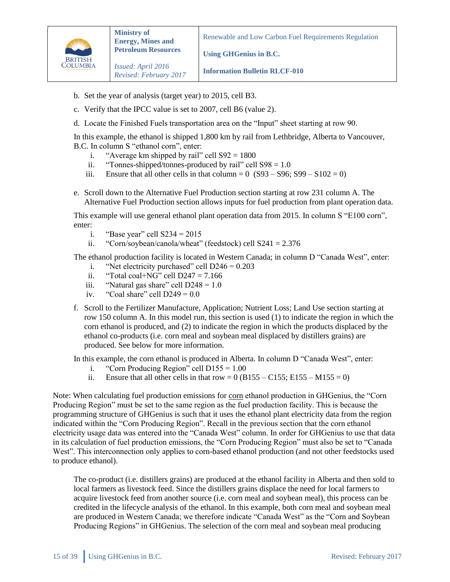

**Using GHGenius in B.C.**

*Issued: April 2016 Revised: February 2017*

**Information Bulletin RLCF-010**

- b. Set the year of analysis (target year) to 2015, cell B3.
- c. Verify that the IPCC value is set to 2007, cell B6 (value 2).
- d. Locate the Finished Fuels transportation area on the "Input" sheet starting at row 90.

In this example, the ethanol is shipped 1,800 km by rail from Lethbridge, Alberta to Vancouver, B.C. In column S "ethanol corn", enter:

- i. "Average km shipped by rail" cell  $S92 = 1800$
- ii. "Tonnes-shipped/tonnes-produced by rail" cell  $S98 = 1.0$
- iii. Ensure that all other cells in that column =  $0$  (S93 S96; S99 S102 = 0)
- e. Scroll down to the Alternative Fuel Production section starting at row 231 column A. The Alternative Fuel Production section allows inputs for fuel production from plant operation data.

This example will use general ethanol plant operation data from 2015. In column S "E100 corn", enter:

- i. "Base year" cell  $S234 = 2015$
- ii. "Corn/soybean/canola/wheat" (feedstock) cell  $S241 = 2.376$

The ethanol production facility is located in Western Canada; in column D "Canada West", enter:

- i. "Net electricity purchased" cell  $D246 = 0.203$
- ii. "Total coal+NG" cell  $D247 = 7.166$
- iii. "Natural gas share" cell  $D248 = 1.0$
- iv. "Coal share" cell  $D249 = 0.0$
- f. Scroll to the Fertilizer Manufacture, Application; Nutrient Loss; Land Use section starting at row 150 column A. In this model run, this section is used (1) to indicate the region in which the corn ethanol is produced, and (2) to indicate the region in which the products displaced by the ethanol co-products (i.e. corn meal and soybean meal displaced by distillers grains) are produced. See below for more information.

In this example, the corn ethanol is produced in Alberta. In column D "Canada West", enter:

- i. "Corn Producing Region" cell  $D155 = 1.00$
- ii. Ensure that all other cells in that row =  $0$  (B155 C155; E155 M155 = 0)

Note: When calculating fuel production emissions for corn ethanol production in GHGenius, the "Corn Producing Region" must be set to the same region as the fuel production facility. This is because the programming structure of GHGenius is such that it uses the ethanol plant electricity data from the region indicated within the "Corn Producing Region". Recall in the previous section that the corn ethanol electricity usage data was entered into the "Canada West" column. In order for GHGenius to use that data in its calculation of fuel production emissions, the "Corn Producing Region" must also be set to "Canada West". This interconnection only applies to corn-based ethanol production (and not other feedstocks used to produce ethanol).

The co-product (i.e. distillers grains) are produced at the ethanol facility in Alberta and then sold to local farmers as livestock feed. Since the distillers grains displace the need for local farmers to acquire livestock feed from another source (i.e. corn meal and soybean meal), this process can be credited in the lifecycle analysis of the ethanol. In this example, both corn meal and soybean meal are produced in Western Canada; we therefore indicate "Canada West" as the "Corn and Soybean Producing Regions" in GHGenius. The selection of the corn meal and soybean meal producing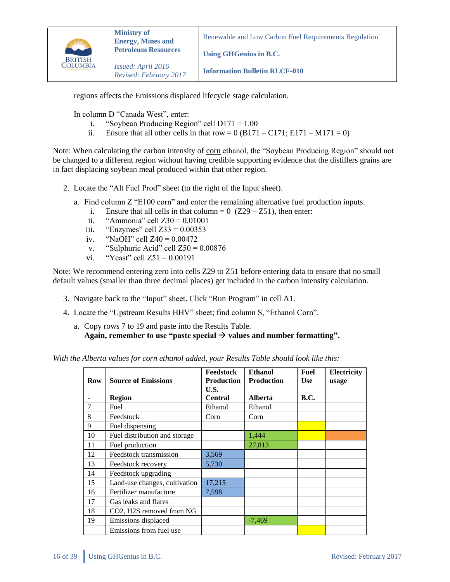

**Using GHGenius in B.C.**

**Information Bulletin RLCF-010**

regions affects the Emissions displaced lifecycle stage calculation.

In column D "Canada West", enter:

- i. "Soybean Producing Region" cell  $D171 = 1.00$
- ii. Ensure that all other cells in that row =  $0$  (B171 C171; E171 M171 = 0)

Note: When calculating the carbon intensity of corn ethanol, the "Soybean Producing Region" should not be changed to a different region without having credible supporting evidence that the distillers grains are in fact displacing soybean meal produced within that other region.

- 2. Locate the "Alt Fuel Prod" sheet (to the right of the Input sheet).
	- a. Find column Z "E100 corn" and enter the remaining alternative fuel production inputs.
		- i. Ensure that all cells in that column =  $0$  (Z29 Z51), then enter:
		- ii. "Ammonia" cell  $Z30 = 0.01001$
		- iii. "Enzymes" cell  $Z33 = 0.00353$
		- iv. "NaOH" cell Z40 = 0.00472
		- v. "Sulphuric Acid" cell  $Z50 = 0.00876$
		- vi. "Yeast" cell  $Z51 = 0.00191$

Note: We recommend entering zero into cells Z29 to Z51 before entering data to ensure that no small default values (smaller than three decimal places) get included in the carbon intensity calculation.

- 3. Navigate back to the "Input" sheet. Click "Run Program" in cell A1.
- 4. Locate the "Upstream Results HHV" sheet; find column S, "Ethanol Corn".
	- a. Copy rows 7 to 19 and paste into the Results Table. Again, remember to use "paste special  $\rightarrow$  values and number formatting".

*With the Alberta values for corn ethanol added, your Results Table should look like this:*

| Row | <b>Source of Emissions</b>    | Feedstock<br><b>Production</b> | <b>Ethanol</b><br><b>Production</b> | <b>Fuel</b><br><b>Use</b> | <b>Electricity</b><br>usage |
|-----|-------------------------------|--------------------------------|-------------------------------------|---------------------------|-----------------------------|
|     |                               | U.S.                           |                                     |                           |                             |
|     | <b>Region</b>                 | <b>Central</b>                 | <b>Alberta</b>                      | <b>B.C.</b>               |                             |
| 7   | Fuel                          | Ethanol                        | Ethanol                             |                           |                             |
| 8   | Feedstock                     | Corn                           | Corn                                |                           |                             |
| 9   | Fuel dispensing               |                                |                                     |                           |                             |
| 10  | Fuel distribution and storage |                                | 1,444                               |                           |                             |
| 11  | Fuel production               |                                | 27,813                              |                           |                             |
| 12  | Feedstock transmission        | 3,569                          |                                     |                           |                             |
| 13  | Feedstock recovery            | 5,730                          |                                     |                           |                             |
| 14  | Feedstock upgrading           |                                |                                     |                           |                             |
| 15  | Land-use changes, cultivation | 17,215                         |                                     |                           |                             |
| 16  | Fertilizer manufacture        | 7,598                          |                                     |                           |                             |
| 17  | Gas leaks and flares          |                                |                                     |                           |                             |
| 18  | CO2, H2S removed from NG      |                                |                                     |                           |                             |
| 19  | Emissions displaced           |                                | -7,469                              |                           |                             |
|     | Emissions from fuel use       |                                |                                     |                           |                             |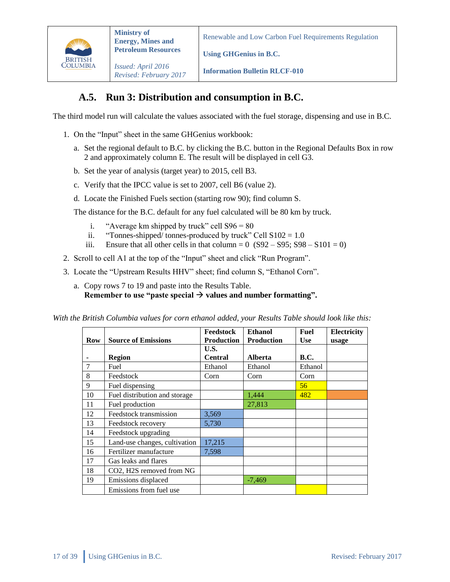

*Issued: April 2016 Revised: February 2017*

**Information Bulletin RLCF-010**

**Using GHGenius in B.C.**

### **A.5. Run 3: Distribution and consumption in B.C.**

<span id="page-16-0"></span>The third model run will calculate the values associated with the fuel storage, dispensing and use in B.C.

- 1. On the "Input" sheet in the same GHGenius workbook:
	- a. Set the regional default to B.C. by clicking the B.C. button in the Regional Defaults Box in row 2 and approximately column E. The result will be displayed in cell G3.
	- b. Set the year of analysis (target year) to 2015, cell B3.
	- c. Verify that the IPCC value is set to 2007, cell B6 (value 2).
	- d. Locate the Finished Fuels section (starting row 90); find column S.

The distance for the B.C. default for any fuel calculated will be 80 km by truck.

- i. "Average km shipped by truck" cell  $S96 = 80$
- ii. "Tonnes-shipped/ tonnes-produced by truck" Cell  $S102 = 1.0$
- iii. Ensure that all other cells in that column =  $0$  (S92 S95; S98 S101 = 0)
- 2. Scroll to cell A1 at the top of the "Input" sheet and click "Run Program".
- 3. Locate the "Upstream Results HHV" sheet; find column S, "Ethanol Corn".
	- a. Copy rows 7 to 19 and paste into the Results Table. **Remember to use "paste special**  $\rightarrow$  **values and number formatting".**

*With the British Columbia values for corn ethanol added, your Results Table should look like this:*

|     |                               | <b>Feedstock</b>  | <b>Ethanol</b>    | Fuel        | Electricity |
|-----|-------------------------------|-------------------|-------------------|-------------|-------------|
| Row | <b>Source of Emissions</b>    | <b>Production</b> | <b>Production</b> | <b>Use</b>  | usage       |
|     |                               | U.S.              |                   |             |             |
|     | Region                        | <b>Central</b>    | <b>Alberta</b>    | <b>B.C.</b> |             |
| 7   | Fuel                          | Ethanol           | Ethanol           | Ethanol     |             |
| 8   | Feedstock                     | Corn              | Corn              | Corn        |             |
| 9   | Fuel dispensing               |                   |                   | 56          |             |
| 10  | Fuel distribution and storage |                   | 1,444             | 482         |             |
| 11  | Fuel production               |                   | 27,813            |             |             |
| 12  | Feedstock transmission        | 3,569             |                   |             |             |
| 13  | Feedstock recovery            | 5,730             |                   |             |             |
| 14  | Feedstock upgrading           |                   |                   |             |             |
| 15  | Land-use changes, cultivation | 17,215            |                   |             |             |
| 16  | Fertilizer manufacture        | 7,598             |                   |             |             |
| 17  | Gas leaks and flares          |                   |                   |             |             |
| 18  | CO2, H2S removed from NG      |                   |                   |             |             |
| 19  | Emissions displaced           |                   | $-7,469$          |             |             |
|     | Emissions from fuel use       |                   |                   |             |             |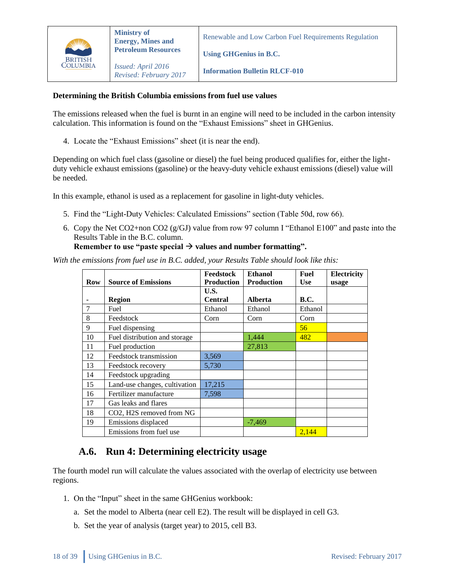

Renewable and Low Carbon Fuel Requirements Regulation

**Using GHGenius in B.C.**

**Information Bulletin RLCF-010**

#### **Determining the British Columbia emissions from fuel use values**

The emissions released when the fuel is burnt in an engine will need to be included in the carbon intensity calculation. This information is found on the "Exhaust Emissions" sheet in GHGenius.

4. Locate the "Exhaust Emissions" sheet (it is near the end).

Depending on which fuel class (gasoline or diesel) the fuel being produced qualifies for, either the lightduty vehicle exhaust emissions (gasoline) or the heavy-duty vehicle exhaust emissions (diesel) value will be needed.

In this example, ethanol is used as a replacement for gasoline in light-duty vehicles.

- 5. Find the "Light-Duty Vehicles: Calculated Emissions" section (Table 50d, row 66).
- 6. Copy the Net CO2+non CO2 (g/GJ) value from row 97 column I "Ethanol E100" and paste into the Results Table in the B.C. column.

#### Remember to use "paste special  $\rightarrow$  values and number formatting".

*With the emissions from fuel use in B.C. added, your Results Table should look like this:* 

| <b>Row</b> | <b>Source of Emissions</b>    | Feedstock<br><b>Production</b> | <b>Ethanol</b><br><b>Production</b> | <b>Fuel</b><br><b>Use</b> | <b>Electricity</b><br>usage |
|------------|-------------------------------|--------------------------------|-------------------------------------|---------------------------|-----------------------------|
|            |                               | U.S.                           |                                     |                           |                             |
|            | <b>Region</b>                 | <b>Central</b>                 | <b>Alberta</b>                      | <b>B.C.</b>               |                             |
| 7          | Fuel                          | Ethanol                        | Ethanol                             | Ethanol                   |                             |
| 8          | Feedstock                     | Corn                           | Corn                                | Corn                      |                             |
| 9          | Fuel dispensing               |                                |                                     | 56                        |                             |
| 10         | Fuel distribution and storage |                                | 1,444                               | 482                       |                             |
| 11         | Fuel production               |                                | 27,813                              |                           |                             |
| 12         | Feedstock transmission        | 3,569                          |                                     |                           |                             |
| 13         | Feedstock recovery            | 5,730                          |                                     |                           |                             |
| 14         | Feedstock upgrading           |                                |                                     |                           |                             |
| 15         | Land-use changes, cultivation | 17,215                         |                                     |                           |                             |
| 16         | Fertilizer manufacture        | 7,598                          |                                     |                           |                             |
| 17         | Gas leaks and flares          |                                |                                     |                           |                             |
| 18         | CO2, H2S removed from NG      |                                |                                     |                           |                             |
| 19         | Emissions displaced           |                                | $-7,469$                            |                           |                             |
|            | Emissions from fuel use       |                                |                                     | 2,144                     |                             |

### <span id="page-17-0"></span>**A.6. Run 4: Determining electricity usage**

The fourth model run will calculate the values associated with the overlap of electricity use between regions.

- 1. On the "Input" sheet in the same GHGenius workbook:
	- a. Set the model to Alberta (near cell E2). The result will be displayed in cell G3.
	- b. Set the year of analysis (target year) to 2015, cell B3.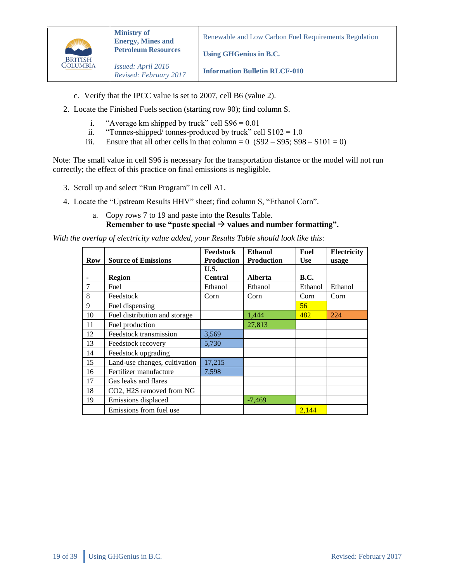

**Using GHGenius in B.C.**

**Information Bulletin RLCF-010**

- c. Verify that the IPCC value is set to 2007, cell B6 (value 2).
- 2. Locate the Finished Fuels section (starting row 90); find column S.
	- i. "Average km shipped by truck" cell  $S96 = 0.01$
	- ii. "Tonnes-shipped/ tonnes-produced by truck" cell  $S102 = 1.0$
	- iii. Ensure that all other cells in that column =  $0$  (S92 S95; S98 S101 = 0)

Note: The small value in cell S96 is necessary for the transportation distance or the model will not run correctly; the effect of this practice on final emissions is negligible.

- 3. Scroll up and select "Run Program" in cell A1.
- 4. Locate the "Upstream Results HHV" sheet; find column S, "Ethanol Corn".

#### a. Copy rows 7 to 19 and paste into the Results Table. **Remember to use "paste special**  $\rightarrow$  **values and number formatting".**

*With the overlap of electricity value added, your Results Table should look like this:*

|            |                               | Feedstock         | <b>Ethanol</b>    | Fuel        | Electricity |
|------------|-------------------------------|-------------------|-------------------|-------------|-------------|
| <b>Row</b> | <b>Source of Emissions</b>    | <b>Production</b> | <b>Production</b> | <b>Use</b>  | usage       |
|            |                               | U.S.              |                   |             |             |
|            | <b>Region</b>                 | <b>Central</b>    | <b>Alberta</b>    | <b>B.C.</b> |             |
| $\tau$     | Fuel                          | Ethanol           | Ethanol           | Ethanol     | Ethanol     |
| 8          | Feedstock                     | Corn              | Corn              | Corn        | Corn        |
| 9          | Fuel dispensing               |                   |                   | 56          |             |
| 10         | Fuel distribution and storage |                   | 1,444             | 482         | 224         |
| 11         | Fuel production               |                   | 27,813            |             |             |
| 12         | Feedstock transmission        | 3,569             |                   |             |             |
| 13         | Feedstock recovery            | 5,730             |                   |             |             |
| 14         | Feedstock upgrading           |                   |                   |             |             |
| 15         | Land-use changes, cultivation | 17,215            |                   |             |             |
| 16         | Fertilizer manufacture        | 7,598             |                   |             |             |
| 17         | Gas leaks and flares          |                   |                   |             |             |
| 18         | CO2, H2S removed from NG      |                   |                   |             |             |
| 19         | Emissions displaced           |                   | $-7,469$          |             |             |
|            | Emissions from fuel use       |                   |                   | 2,144       |             |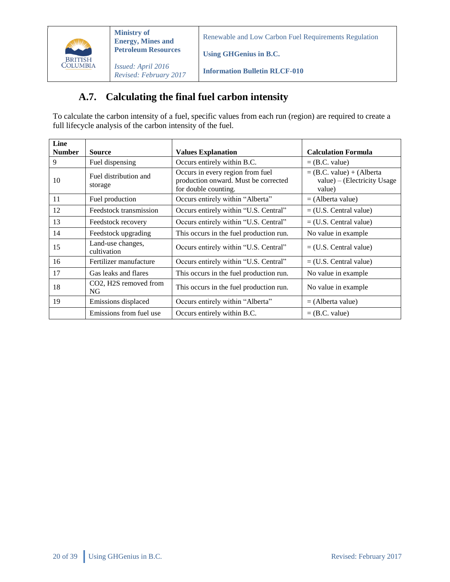

*Issued: April 2016 Revised: February 2017*

**Information Bulletin RLCF-010**

**Using GHGenius in B.C.**

# **A.7. Calculating the final fuel carbon intensity**

<span id="page-19-0"></span>To calculate the carbon intensity of a fuel, specific values from each run (region) are required to create a full lifecycle analysis of the carbon intensity of the fuel.

| Line<br><b>Number</b> | <b>Source</b>                                          | <b>Values Explanation</b>                                                                        | <b>Calculation Formula</b>                                           |
|-----------------------|--------------------------------------------------------|--------------------------------------------------------------------------------------------------|----------------------------------------------------------------------|
| 9                     | Fuel dispensing                                        | Occurs entirely within B.C.                                                                      | $=$ (B.C. value)                                                     |
| 10                    | Fuel distribution and<br>storage                       | Occurs in every region from fuel<br>production onward. Must be corrected<br>for double counting. | $=$ (B.C. value) + (Alberta<br>value) – (Electricity Usage<br>value) |
| 11                    | Fuel production                                        | Occurs entirely within "Alberta"                                                                 | $=$ (Alberta value)                                                  |
| 12                    | Feedstock transmission                                 | Occurs entirely within "U.S. Central"                                                            | $=$ (U.S. Central value)                                             |
| 13                    | Feedstock recovery                                     | Occurs entirely within "U.S. Central"                                                            | $=$ (U.S. Central value)                                             |
| 14                    | Feedstock upgrading                                    | This occurs in the fuel production run.                                                          | No value in example                                                  |
| 15                    | Land-use changes,<br>cultivation                       | Occurs entirely within "U.S. Central"                                                            | $=$ (U.S. Central value)                                             |
| 16                    | Fertilizer manufacture                                 | Occurs entirely within "U.S. Central"                                                            | $=$ (U.S. Central value)                                             |
| 17                    | Gas leaks and flares                                   | This occurs in the fuel production run.                                                          | No value in example                                                  |
| 18                    | CO <sub>2</sub> , H <sub>2</sub> S removed from<br>NG. | This occurs in the fuel production run.                                                          | No value in example.                                                 |
| 19                    | Emissions displaced                                    | Occurs entirely within "Alberta"                                                                 | $=$ (Alberta value)                                                  |
|                       | Emissions from fuel use                                | Occurs entirely within B.C.                                                                      | $=$ (B.C. value)                                                     |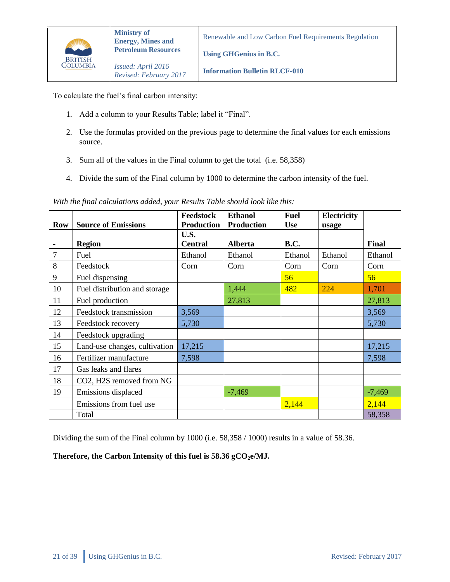

*Revised: February 2017*

**Using GHGenius in B.C.**

**Information Bulletin RLCF-010**

To calculate the fuel's final carbon intensity:

- 1. Add a column to your Results Table; label it "Final".
- 2. Use the formulas provided on the previous page to determine the final values for each emissions source.
- 3. Sum all of the values in the Final column to get the total (i.e. 58,358)
- 4. Divide the sum of the Final column by 1000 to determine the carbon intensity of the fuel.

|  | With the final calculations added, your Results Table should look like this: |  |  |  |  |
|--|------------------------------------------------------------------------------|--|--|--|--|
|  |                                                                              |  |  |  |  |

|                |                               | Feedstock         | <b>Ethanol</b>    | <b>Fuel</b> | Electricity |          |
|----------------|-------------------------------|-------------------|-------------------|-------------|-------------|----------|
| <b>Row</b>     | <b>Source of Emissions</b>    | <b>Production</b> | <b>Production</b> | <b>Use</b>  | usage       |          |
|                |                               | U.S.              |                   |             |             |          |
|                | <b>Region</b>                 | <b>Central</b>    | <b>Alberta</b>    | <b>B.C.</b> |             | Final    |
| $\overline{7}$ | Fuel                          | Ethanol           | Ethanol           | Ethanol     | Ethanol     | Ethanol  |
| 8              | Feedstock                     | Corn              | Corn              | Corn        | Corn        | Corn     |
| 9              | Fuel dispensing               |                   |                   | 56          |             | 56       |
| 10             | Fuel distribution and storage |                   | 1,444             | 482         | 224         | 1,701    |
| 11             | Fuel production               |                   | 27,813            |             |             | 27,813   |
| 12             | Feedstock transmission        | 3,569             |                   |             |             | 3,569    |
| 13             | Feedstock recovery            | 5,730             |                   |             |             | 5,730    |
| 14             | Feedstock upgrading           |                   |                   |             |             |          |
| 15             | Land-use changes, cultivation | 17,215            |                   |             |             | 17,215   |
| 16             | Fertilizer manufacture        | 7,598             |                   |             |             | 7,598    |
| 17             | Gas leaks and flares          |                   |                   |             |             |          |
| 18             | CO2, H2S removed from NG      |                   |                   |             |             |          |
| 19             | Emissions displaced           |                   | $-7,469$          |             |             | $-7,469$ |
|                | Emissions from fuel use       |                   |                   | 2,144       |             | 2,144    |
|                | Total                         |                   |                   |             |             | 58,358   |

Dividing the sum of the Final column by 1000 (i.e. 58,358 / 1000) results in a value of 58.36.

#### **Therefore, the Carbon Intensity of this fuel is 58.36 gCO2e/MJ.**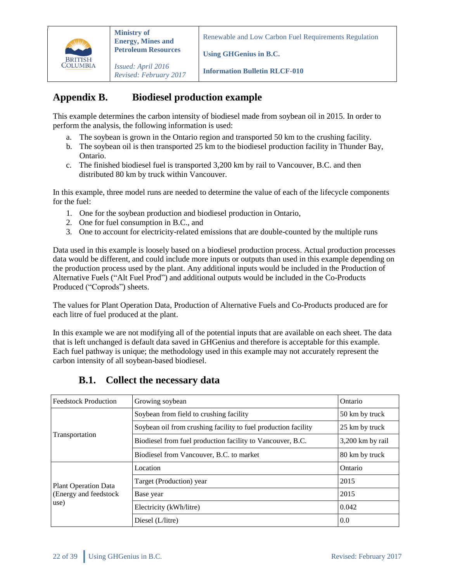

**Using GHGenius in B.C.**

*Issued: April 2016 Revised: February 2017*

**Information Bulletin RLCF-010**

# <span id="page-21-0"></span>**Appendix B. Biodiesel production example**

This example determines the carbon intensity of biodiesel made from soybean oil in 2015. In order to perform the analysis, the following information is used:

- a. The soybean is grown in the Ontario region and transported 50 km to the crushing facility.
- b. The soybean oil is then transported 25 km to the biodiesel production facility in Thunder Bay, Ontario.
- c. The finished biodiesel fuel is transported 3,200 km by rail to Vancouver, B.C. and then distributed 80 km by truck within Vancouver.

In this example, three model runs are needed to determine the value of each of the lifecycle components for the fuel:

- 1. One for the soybean production and biodiesel production in Ontario,
- 2. One for fuel consumption in B.C., and
- 3. One to account for electricity-related emissions that are double-counted by the multiple runs

Data used in this example is loosely based on a biodiesel production process. Actual production processes data would be different, and could include more inputs or outputs than used in this example depending on the production process used by the plant. Any additional inputs would be included in the Production of Alternative Fuels ("Alt Fuel Prod") and additional outputs would be included in the Co-Products Produced ("Coprods") sheets.

The values for Plant Operation Data, Production of Alternative Fuels and Co-Products produced are for each litre of fuel produced at the plant.

In this example we are not modifying all of the potential inputs that are available on each sheet. The data that is left unchanged is default data saved in GHGenius and therefore is acceptable for this example. Each fuel pathway is unique; the methodology used in this example may not accurately represent the carbon intensity of all soybean-based biodiesel.

<span id="page-21-1"></span>

| <b>Feedstock Production</b> | Growing soybean                                                | Ontario          |
|-----------------------------|----------------------------------------------------------------|------------------|
|                             | Soybean from field to crushing facility                        | 50 km by truck   |
|                             | Soybean oil from crushing facility to fuel production facility | 25 km by truck   |
| Transportation              | Biodiesel from fuel production facility to Vancouver, B.C.     | 3,200 km by rail |
|                             | Biodiesel from Vancouver, B.C. to market                       | 80 km by truck   |
|                             | Location                                                       | Ontario          |
| <b>Plant Operation Data</b> | Target (Production) year                                       | 2015             |
| (Energy and feedstock       | Base year                                                      | 2015             |
| use)                        | Electricity (kWh/litre)                                        | 0.042            |
|                             | Diesel (L/litre)                                               | 0.0              |

### **B.1. Collect the necessary data**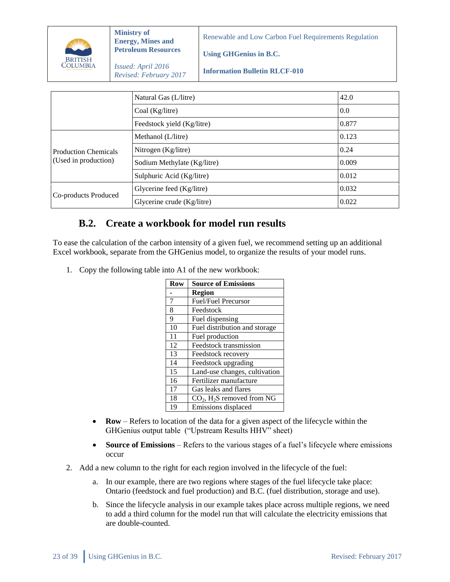

**Using GHGenius in B.C.**

*Issued: April 2016 Revised: February 2017*

**Information Bulletin RLCF-010**

|                             | Natural Gas (L/litre)       | 42.0  |
|-----------------------------|-----------------------------|-------|
|                             | Coal (Kg/litre)             | 0.0   |
|                             | Feedstock yield (Kg/litre)  | 0.877 |
|                             | Methanol (L/litre)          | 0.123 |
| <b>Production Chemicals</b> | Nitrogen (Kg/litre)         | 0.24  |
| (Used in production)        | Sodium Methylate (Kg/litre) | 0.009 |
|                             | Sulphuric Acid (Kg/litre)   | 0.012 |
|                             | Glycerine feed (Kg/litre)   | 0.032 |
| Co-products Produced        | Glycerine crude (Kg/litre)  | 0.022 |

### <span id="page-22-0"></span>**B.2. Create a workbook for model run results**

To ease the calculation of the carbon intensity of a given fuel, we recommend setting up an additional Excel workbook, separate from the GHGenius model, to organize the results of your model runs.

1. Copy the following table into A1 of the new workbook:

| Row | <b>Source of Emissions</b>               |
|-----|------------------------------------------|
|     | <b>Region</b>                            |
| 7   | Fuel/Fuel Precursor                      |
| 8   | Feedstock                                |
| 9   | Fuel dispensing                          |
| 10  | Fuel distribution and storage            |
| 11  | Fuel production                          |
| 12  | Feedstock transmission                   |
| 13  | Feedstock recovery                       |
| 14  | Feedstock upgrading                      |
| 15  | Land-use changes, cultivation            |
| 16  | Fertilizer manufacture                   |
| 17  | Gas leaks and flares                     |
| 18  | $CO2$ , H <sub>2</sub> S removed from NG |
| 19  | Emissions displaced                      |

- **Row** Refers to location of the data for a given aspect of the lifecycle within the GHGenius output table ("Upstream Results HHV" sheet)
- Source of Emissions Refers to the various stages of a fuel's lifecycle where emissions occur
- 2. Add a new column to the right for each region involved in the lifecycle of the fuel:
	- a. In our example, there are two regions where stages of the fuel lifecycle take place: Ontario (feedstock and fuel production) and B.C. (fuel distribution, storage and use).
	- b. Since the lifecycle analysis in our example takes place across multiple regions, we need to add a third column for the model run that will calculate the electricity emissions that are double-counted.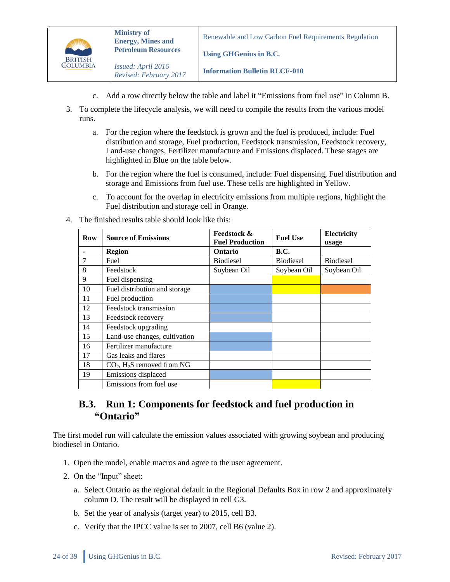

**Using GHGenius in B.C.**

**Information Bulletin RLCF-010**

- c. Add a row directly below the table and label it "Emissions from fuel use" in Column B.
- 3. To complete the lifecycle analysis, we will need to compile the results from the various model runs.
	- a. For the region where the feedstock is grown and the fuel is produced, include: Fuel distribution and storage, Fuel production, Feedstock transmission, Feedstock recovery, Land-use changes, Fertilizer manufacture and Emissions displaced. These stages are highlighted in Blue on the table below.
	- b. For the region where the fuel is consumed, include: Fuel dispensing, Fuel distribution and storage and Emissions from fuel use. These cells are highlighted in Yellow.
	- c. To account for the overlap in electricity emissions from multiple regions, highlight the Fuel distribution and storage cell in Orange.

| Row | <b>Source of Emissions</b>               | <b>Feedstock &amp;</b> | <b>Fuel Use</b>  | Electricity      |
|-----|------------------------------------------|------------------------|------------------|------------------|
|     |                                          | <b>Fuel Production</b> |                  | usage            |
|     | <b>Region</b>                            | <b>Ontario</b>         | <b>B.C.</b>      |                  |
|     | Fuel                                     | <b>Biodiesel</b>       | <b>Biodiesel</b> | <b>Biodiesel</b> |
| 8   | Feedstock                                | Soybean Oil            | Soybean Oil      | Soybean Oil      |
| 9   | Fuel dispensing                          |                        |                  |                  |
| 10  | Fuel distribution and storage            |                        |                  |                  |
| 11  | Fuel production                          |                        |                  |                  |
| 12  | Feedstock transmission                   |                        |                  |                  |
| 13  | Feedstock recovery                       |                        |                  |                  |
| 14  | Feedstock upgrading                      |                        |                  |                  |
| 15  | Land-use changes, cultivation            |                        |                  |                  |
| 16  | Fertilizer manufacture                   |                        |                  |                  |
| 17  | Gas leaks and flares                     |                        |                  |                  |
| 18  | $CO2$ , H <sub>2</sub> S removed from NG |                        |                  |                  |
| 19  | Emissions displaced                      |                        |                  |                  |
|     | Emissions from fuel use                  |                        |                  |                  |

4. The finished results table should look like this:

### <span id="page-23-0"></span>**B.3. Run 1: Components for feedstock and fuel production in "Ontario"**

The first model run will calculate the emission values associated with growing soybean and producing biodiesel in Ontario.

- 1. Open the model, enable macros and agree to the user agreement.
- 2. On the "Input" sheet:
	- a. Select Ontario as the regional default in the Regional Defaults Box in row 2 and approximately column D. The result will be displayed in cell G3.
	- b. Set the year of analysis (target year) to 2015, cell B3.
	- c. Verify that the IPCC value is set to 2007, cell B6 (value 2).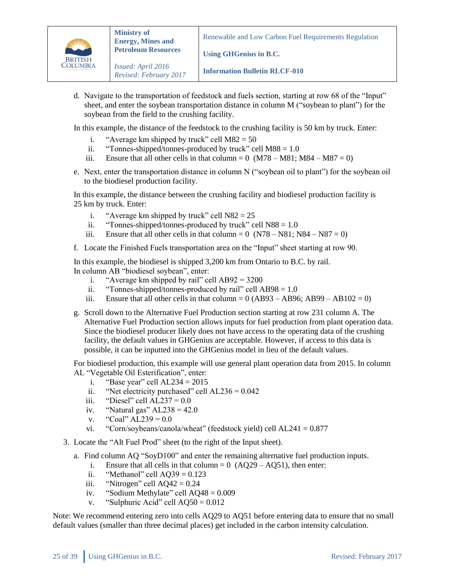

**Using GHGenius in B.C.**

**Information Bulletin RLCF-010**

d. Navigate to the transportation of feedstock and fuels section, starting at row 68 of the "Input" sheet, and enter the soybean transportation distance in column M ("soybean to plant") for the soybean from the field to the crushing facility.

In this example, the distance of the feedstock to the crushing facility is 50 km by truck. Enter:

- i. "Average km shipped by truck" cell  $M82 = 50$
- ii. "Tonnes-shipped/tonnes-produced by truck" cell  $M88 = 1.0$
- iii. Ensure that all other cells in that column =  $0 \ (M78 M81; M84 M87 = 0)$
- e. Next, enter the transportation distance in column N ("soybean oil to plant") for the soybean oil to the biodiesel production facility.

In this example, the distance between the crushing facility and biodiesel production facility is 25 km by truck. Enter:

- i. "Average km shipped by truck" cell  $N82 = 25$
- ii. "Tonnes-shipped/tonnes-produced by truck" cell  $N88 = 1.0$
- iii. Ensure that all other cells in that column =  $0 (N78 N81; N84 N87 = 0)$
- f. Locate the Finished Fuels transportation area on the "Input" sheet starting at row 90.

In this example, the biodiesel is shipped 3,200 km from Ontario to B.C. by rail. In column AB "biodiesel soybean", enter:

- i. "Average km shipped by rail" cell  $AB92 = 3200$
- ii. "Tonnes-shipped/tonnes-produced by rail" cell  $AB98 = 1.0$
- iii. Ensure that all other cells in that column =  $0(AB93 AB96; AB99 AB102 = 0)$
- g. Scroll down to the Alternative Fuel Production section starting at row 231 column A. The Alternative Fuel Production section allows inputs for fuel production from plant operation data. Since the biodiesel producer likely does not have access to the operating data of the crushing facility, the default values in GHGenius are acceptable. However, if access to this data is possible, it can be inputted into the GHGenius model in lieu of the default values.

For biodiesel production, this example will use general plant operation data from 2015. In column AL "Vegetable Oil Esterification", enter:

- i. "Base year" cell  $AL234 = 2015$
- ii. "Net electricity purchased" cell  $AL236 = 0.042$
- iii. "Diesel" cell AL237 =  $0.0$
- iv. "Natural gas"  $AL238 = 42.0$
- v. "Coal"  $AL239 = 0.0$
- vi. "Corn/soybeans/canola/wheat" (feedstock yield) cell AL241 = 0.877
- 3. Locate the "Alt Fuel Prod" sheet (to the right of the Input sheet).
	- a. Find column AQ "SoyD100" and enter the remaining alternative fuel production inputs.
		- i. Ensure that all cells in that column =  $0$  (AQ29 AQ51), then enter:
		- ii. "Methanol" cell  $AQ39 = 0.123$
		- iii. "Nitrogen" cell  $AQ42 = 0.24$
		- iv. "Sodium Methylate" cell AQ48 = 0.009
		- v. "Sulphuric Acid" cell  $AQ50 = 0.012$

Note: We recommend entering zero into cells AQ29 to AQ51 before entering data to ensure that no small default values (smaller than three decimal places) get included in the carbon intensity calculation.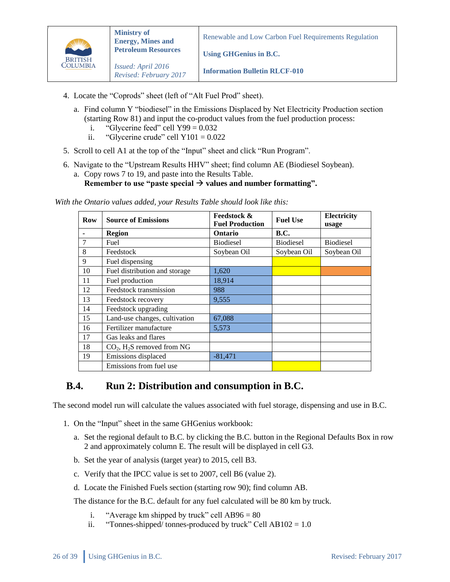

*Revised: February 2017*

Renewable and Low Carbon Fuel Requirements Regulation

**Using GHGenius in B.C.**

**Information Bulletin RLCF-010**

- 4. Locate the "Coprods" sheet (left of "Alt Fuel Prod" sheet).
	- a. Find column Y "biodiesel" in the Emissions Displaced by Net Electricity Production section (starting Row 81) and input the co-product values from the fuel production process:
		- i. "Glycerine feed" cell  $Y99 = 0.032$
		- ii. "Glycerine crude" cell  $Y101 = 0.022$
- 5. Scroll to cell A1 at the top of the "Input" sheet and click "Run Program".
- 6. Navigate to the "Upstream Results HHV" sheet; find column AE (Biodiesel Soybean).
	- a. Copy rows 7 to 19, and paste into the Results Table. Remember to use "paste special  $\rightarrow$  values and number formatting".

*With the Ontario values added, your Results Table should look like this:*

| <b>Row</b> | <b>Source of Emissions</b>               | <b>Feedstock &amp;</b> | <b>Fuel Use</b>  | Electricity      |
|------------|------------------------------------------|------------------------|------------------|------------------|
|            |                                          | <b>Fuel Production</b> |                  | usage            |
|            | <b>Region</b>                            | <b>Ontario</b>         | <b>B.C.</b>      |                  |
| 7          | Fuel                                     | <b>Biodiesel</b>       | <b>Biodiesel</b> | <b>Biodiesel</b> |
| 8          | Feedstock                                | Soybean Oil            | Soybean Oil      | Soybean Oil      |
| 9          | Fuel dispensing                          |                        |                  |                  |
| 10         | Fuel distribution and storage            | 1,620                  |                  |                  |
| 11         | Fuel production                          | 18,914                 |                  |                  |
| 12         | Feedstock transmission                   | 988                    |                  |                  |
| 13         | Feedstock recovery                       | 9,555                  |                  |                  |
| 14         | Feedstock upgrading                      |                        |                  |                  |
| 15         | Land-use changes, cultivation            | 67,088                 |                  |                  |
| 16         | Fertilizer manufacture                   | 5,573                  |                  |                  |
| 17         | Gas leaks and flares                     |                        |                  |                  |
| 18         | $CO2$ , H <sub>2</sub> S removed from NG |                        |                  |                  |
| 19         | Emissions displaced                      | $-81,471$              |                  |                  |
|            | Emissions from fuel use                  |                        |                  |                  |

### <span id="page-25-0"></span>**B.4. Run 2: Distribution and consumption in B.C.**

The second model run will calculate the values associated with fuel storage, dispensing and use in B.C.

- 1. On the "Input" sheet in the same GHGenius workbook:
	- a. Set the regional default to B.C. by clicking the B.C. button in the Regional Defaults Box in row 2 and approximately column E. The result will be displayed in cell G3.
	- b. Set the year of analysis (target year) to 2015, cell B3.
	- c. Verify that the IPCC value is set to 2007, cell B6 (value 2).
	- d. Locate the Finished Fuels section (starting row 90); find column AB.

The distance for the B.C. default for any fuel calculated will be 80 km by truck.

- i. "Average km shipped by truck" cell  $AB96 = 80$
- ii. "Tonnes-shipped/ tonnes-produced by truck" Cell  $AB102 = 1.0$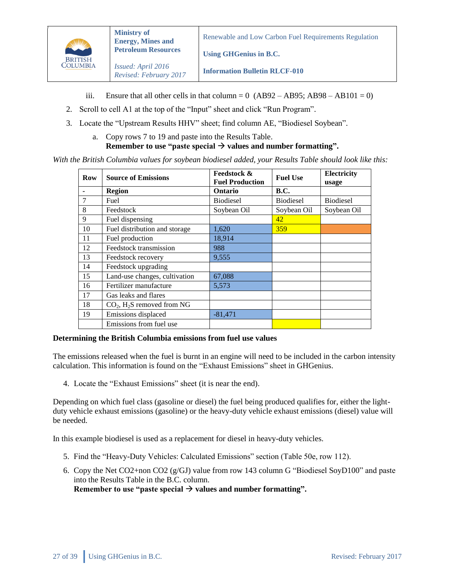

**Using GHGenius in B.C.**

*Issued: April 2016 Revised: February 2017*

**Information Bulletin RLCF-010**

- iii. Ensure that all other cells in that column =  $0 \text{ (AB92 AB95; AB98 AB101 = 0)}$
- 2. Scroll to cell A1 at the top of the "Input" sheet and click "Run Program".
- 3. Locate the "Upstream Results HHV" sheet; find column AE, "Biodiesel Soybean".
	- a. Copy rows 7 to 19 and paste into the Results Table. **Remember to use "paste special**  $\rightarrow$  **values and number formatting".**

*With the British Columbia values for soybean biodiesel added, your Results Table should look like this:*

| <b>Row</b>     | <b>Source of Emissions</b>               | <b>Feedstock &amp;</b> | <b>Fuel Use</b>  | Electricity      |
|----------------|------------------------------------------|------------------------|------------------|------------------|
|                |                                          | <b>Fuel Production</b> |                  | usage            |
|                | <b>Region</b>                            | <b>Ontario</b>         | <b>B.C.</b>      |                  |
| $\overline{7}$ | Fuel                                     | <b>Biodiesel</b>       | <b>Biodiesel</b> | <b>Biodiesel</b> |
| 8              | Feedstock                                | Soybean Oil            | Soybean Oil      | Soybean Oil      |
| 9              | Fuel dispensing                          |                        | 42               |                  |
| 10             | Fuel distribution and storage            | 1,620                  | 359              |                  |
| 11             | Fuel production                          | 18,914                 |                  |                  |
| 12             | Feedstock transmission                   | 988                    |                  |                  |
| 13             | Feedstock recovery                       | 9,555                  |                  |                  |
| 14             | Feedstock upgrading                      |                        |                  |                  |
| 15             | Land-use changes, cultivation            | 67,088                 |                  |                  |
| 16             | Fertilizer manufacture                   | 5,573                  |                  |                  |
| 17             | Gas leaks and flares                     |                        |                  |                  |
| 18             | $CO2$ , H <sub>2</sub> S removed from NG |                        |                  |                  |
| 19             | Emissions displaced                      | $-81,471$              |                  |                  |
|                | Emissions from fuel use                  |                        |                  |                  |

#### **Determining the British Columbia emissions from fuel use values**

The emissions released when the fuel is burnt in an engine will need to be included in the carbon intensity calculation. This information is found on the "Exhaust Emissions" sheet in GHGenius.

4. Locate the "Exhaust Emissions" sheet (it is near the end).

Depending on which fuel class (gasoline or diesel) the fuel being produced qualifies for, either the lightduty vehicle exhaust emissions (gasoline) or the heavy-duty vehicle exhaust emissions (diesel) value will be needed.

In this example biodiesel is used as a replacement for diesel in heavy-duty vehicles.

- 5. Find the "Heavy-Duty Vehicles: Calculated Emissions" section (Table 50e, row 112).
- 6. Copy the Net CO2+non CO2 (g/GJ) value from row 143 column G "Biodiesel SoyD100" and paste into the Results Table in the B.C. column.

**Remember to use "paste special**  $\rightarrow$  **values and number formatting".**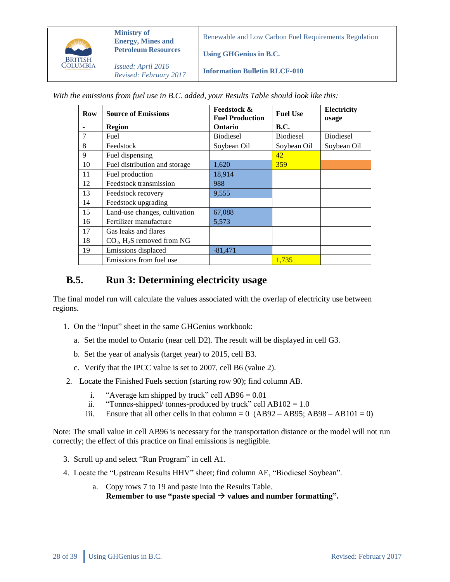

**Ministry of Energy, Mines and Petroleum Resources**

*Issued: April 2016 Revised: February 2017* Renewable and Low Carbon Fuel Requirements Regulation

**Using GHGenius in B.C.**

**Information Bulletin RLCF-010**

*With the emissions from fuel use in B.C. added, your Results Table should look like this:* 

| Row | <b>Source of Emissions</b>               | <b>Feedstock &amp;</b> | <b>Fuel Use</b>  | Electricity      |
|-----|------------------------------------------|------------------------|------------------|------------------|
|     |                                          | <b>Fuel Production</b> |                  | usage            |
|     | <b>Region</b>                            | <b>Ontario</b>         | <b>B.C.</b>      |                  |
| 7   | Fuel                                     | <b>Biodiesel</b>       | <b>Biodiesel</b> | <b>Biodiesel</b> |
| 8   | Feedstock                                | Soybean Oil            | Soybean Oil      | Soybean Oil      |
| 9   | Fuel dispensing                          |                        | 42               |                  |
| 10  | Fuel distribution and storage            | 1,620                  | 359              |                  |
| 11  | Fuel production                          | 18,914                 |                  |                  |
| 12  | Feedstock transmission                   | 988                    |                  |                  |
| 13  | Feedstock recovery                       | 9,555                  |                  |                  |
| 14  | Feedstock upgrading                      |                        |                  |                  |
| 15  | Land-use changes, cultivation            | 67,088                 |                  |                  |
| 16  | Fertilizer manufacture                   | 5,573                  |                  |                  |
| 17  | Gas leaks and flares                     |                        |                  |                  |
| 18  | $CO2$ , H <sub>2</sub> S removed from NG |                        |                  |                  |
| 19  | Emissions displaced                      | $-81,471$              |                  |                  |
|     | Emissions from fuel use                  |                        | 1,735            |                  |

### <span id="page-27-0"></span>**B.5. Run 3: Determining electricity usage**

The final model run will calculate the values associated with the overlap of electricity use between regions.

- 1. On the "Input" sheet in the same GHGenius workbook:
	- a. Set the model to Ontario (near cell D2). The result will be displayed in cell G3.
	- b. Set the year of analysis (target year) to 2015, cell B3.
	- c. Verify that the IPCC value is set to 2007, cell B6 (value 2).
- 2. Locate the Finished Fuels section (starting row 90); find column AB.
	- i. "Average km shipped by truck" cell  $AB96 = 0.01$
	- ii. "Tonnes-shipped/ tonnes-produced by truck" cell  $AB102 = 1.0$
	- iii. Ensure that all other cells in that column =  $0 \text{ (AB92 AB95; AB98 AB101 = 0)}$

Note: The small value in cell AB96 is necessary for the transportation distance or the model will not run correctly; the effect of this practice on final emissions is negligible.

- 3. Scroll up and select "Run Program" in cell A1.
- 4. Locate the "Upstream Results HHV" sheet; find column AE, "Biodiesel Soybean".
	- a. Copy rows 7 to 19 and paste into the Results Table. **Remember to use "paste special**  $\rightarrow$  **values and number formatting".**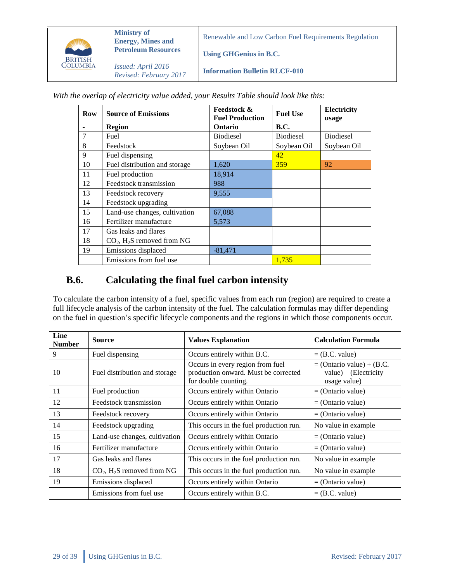

**Ministry of Energy, Mines and Petroleum Resources**

Renewable and Low Carbon Fuel Requirements Regulation

**Using GHGenius in B.C.**

*Issued: April 2016 Revised: February 2017*

**Information Bulletin RLCF-010**

*With the overlap of electricity value added, your Results Table should look like this:*

| Row | <b>Source of Emissions</b>               | <b>Feedstock &amp;</b> | <b>Fuel Use</b>  | Electricity      |
|-----|------------------------------------------|------------------------|------------------|------------------|
|     |                                          | <b>Fuel Production</b> |                  | usage            |
|     | <b>Region</b>                            | <b>Ontario</b>         | <b>B.C.</b>      |                  |
| 7   | Fuel                                     | <b>Biodiesel</b>       | <b>Biodiesel</b> | <b>Biodiesel</b> |
| 8   | Feedstock                                | Soybean Oil            | Soybean Oil      | Soybean Oil      |
| 9   | Fuel dispensing                          |                        | 42               |                  |
| 10  | Fuel distribution and storage            | 1,620                  | 359              | 92               |
| 11  | Fuel production                          | 18,914                 |                  |                  |
| 12  | Feedstock transmission                   | 988                    |                  |                  |
| 13  | Feedstock recovery                       | 9,555                  |                  |                  |
| 14  | Feedstock upgrading                      |                        |                  |                  |
| 15  | Land-use changes, cultivation            | 67,088                 |                  |                  |
| 16  | Fertilizer manufacture                   | 5,573                  |                  |                  |
| 17  | Gas leaks and flares                     |                        |                  |                  |
| 18  | $CO2$ , H <sub>2</sub> S removed from NG |                        |                  |                  |
| 19  | Emissions displaced                      | $-81,471$              |                  |                  |
|     | Emissions from fuel use                  |                        | 1,735            |                  |

### <span id="page-28-0"></span>**B.6. Calculating the final fuel carbon intensity**

To calculate the carbon intensity of a fuel, specific values from each run (region) are required to create a full lifecycle analysis of the carbon intensity of the fuel. The calculation formulas may differ depending on the fuel in question's specific lifecycle components and the regions in which those components occur.

| Line<br><b>Number</b> | <b>Source</b>                            | <b>Values Explanation</b>                                                                        | <b>Calculation Formula</b>                                              |
|-----------------------|------------------------------------------|--------------------------------------------------------------------------------------------------|-------------------------------------------------------------------------|
| 9                     | Fuel dispensing                          | Occurs entirely within B.C.                                                                      | $=$ (B.C. value)                                                        |
| 10                    | Fuel distribution and storage            | Occurs in every region from fuel<br>production onward. Must be corrected<br>for double counting. | $=$ (Ontario value) + (B.C.<br>$value) - (Electricity)$<br>usage value) |
| 11                    | Fuel production                          | Occurs entirely within Ontario                                                                   | $=$ (Ontario value)                                                     |
| 12                    | Feedstock transmission                   | Occurs entirely within Ontario                                                                   | $=$ (Ontario value)                                                     |
| 13                    | Feedstock recovery                       | Occurs entirely within Ontario                                                                   | $=$ (Ontario value)                                                     |
| 14                    | Feedstock upgrading                      | This occurs in the fuel production run.                                                          | No value in example                                                     |
| 15                    | Land-use changes, cultivation            | Occurs entirely within Ontario                                                                   | $=$ (Ontario value)                                                     |
| 16                    | Fertilizer manufacture                   | Occurs entirely within Ontario                                                                   | $=$ (Ontario value)                                                     |
| 17                    | Gas leaks and flares                     | This occurs in the fuel production run.                                                          | No value in example                                                     |
| 18                    | $CO2$ , H <sub>2</sub> S removed from NG | This occurs in the fuel production run.                                                          | No value in example                                                     |
| 19                    | Emissions displaced                      | Occurs entirely within Ontario                                                                   | $=$ (Ontario value)                                                     |
|                       | Emissions from fuel use                  | Occurs entirely within B.C.                                                                      | $=$ (B.C. value)                                                        |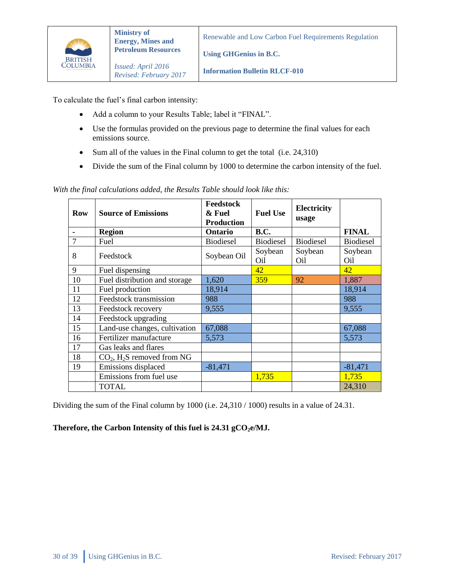

T

٦

**Using GHGenius in B.C.**

*Issued: April 2016 Revised: February 2017*

**Information Bulletin RLCF-010**

To calculate the fuel's final carbon intensity:

- Add a column to your Results Table; label it "FINAL".
- Use the formulas provided on the previous page to determine the final values for each emissions source.
- Sum all of the values in the Final column to get the total (i.e. 24,310)
- Divide the sum of the Final column by 1000 to determine the carbon intensity of the fuel.

 $\blacksquare$  $\top$ **Feedstock**   $\top$ ┯

*With the final calculations added, the Results Table should look like this:*

| <b>Row</b>     | <b>Source of Emissions</b>               | r eeastock<br>& Fuel<br><b>Production</b> | <b>Fuel Use</b>            | Electricity<br>usage |                  |
|----------------|------------------------------------------|-------------------------------------------|----------------------------|----------------------|------------------|
|                | <b>Region</b>                            | <b>Ontario</b>                            | <b>B.C.</b>                |                      | <b>FINAL</b>     |
| $\overline{7}$ | Fuel                                     | <b>Biodiesel</b>                          | <b>Biodiesel</b>           | <b>Biodiesel</b>     | <b>Biodiesel</b> |
| 8              | Feedstock                                | Soybean Oil                               | Soybean<br>O <sub>il</sub> | Soybean<br>Oil       | Soybean<br>Oil   |
| 9              | Fuel dispensing                          |                                           | 42                         |                      | 42               |
| 10             | Fuel distribution and storage            | 1,620                                     | 359                        | 92                   | 1,887            |
| 11             | Fuel production                          | 18,914                                    |                            |                      | 18,914           |
| 12             | Feedstock transmission                   | 988                                       |                            |                      | 988              |
| 13             | Feedstock recovery                       | 9,555                                     |                            |                      | 9,555            |
| 14             | Feedstock upgrading                      |                                           |                            |                      |                  |
| 15             | Land-use changes, cultivation            | 67,088                                    |                            |                      | 67,088           |
| 16             | Fertilizer manufacture                   | 5,573                                     |                            |                      | 5,573            |
| 17             | Gas leaks and flares                     |                                           |                            |                      |                  |
| 18             | $CO2$ , H <sub>2</sub> S removed from NG |                                           |                            |                      |                  |
| 19             | Emissions displaced                      | $-81,471$                                 |                            |                      | $-81,471$        |
|                | Emissions from fuel use                  |                                           | 1,735                      |                      | 1,735            |
|                | TOTAL                                    |                                           |                            |                      | 24,310           |

Dividing the sum of the Final column by 1000 (i.e. 24,310 / 1000) results in a value of 24.31.

#### **Therefore, the Carbon Intensity of this fuel is 24.31 gCO2e/MJ.**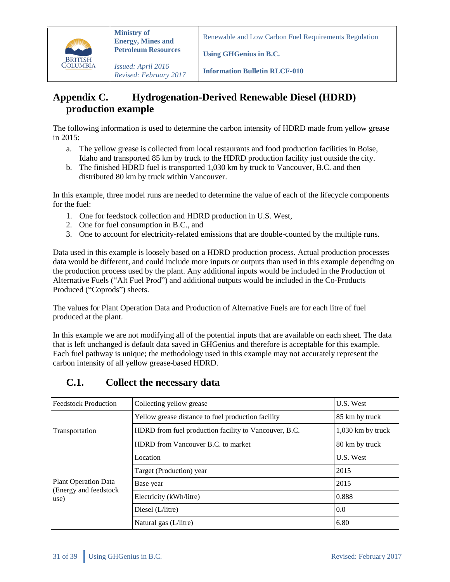

*Issued: April 2016 Revised: February 2017*

**Information Bulletin RLCF-010**

**Using GHGenius in B.C.**

# <span id="page-30-0"></span>**Appendix C. Hydrogenation-Derived Renewable Diesel (HDRD) production example**

The following information is used to determine the carbon intensity of HDRD made from yellow grease in 2015:

- a. The yellow grease is collected from local restaurants and food production facilities in Boise, Idaho and transported 85 km by truck to the HDRD production facility just outside the city.
- b. The finished HDRD fuel is transported 1,030 km by truck to Vancouver, B.C. and then distributed 80 km by truck within Vancouver.

In this example, three model runs are needed to determine the value of each of the lifecycle components for the fuel:

- 1. One for feedstock collection and HDRD production in U.S. West,
- 2. One for fuel consumption in B.C., and
- 3. One to account for electricity-related emissions that are double-counted by the multiple runs.

Data used in this example is loosely based on a HDRD production process. Actual production processes data would be different, and could include more inputs or outputs than used in this example depending on the production process used by the plant. Any additional inputs would be included in the Production of Alternative Fuels ("Alt Fuel Prod") and additional outputs would be included in the Co-Products Produced ("Coprods") sheets.

The values for Plant Operation Data and Production of Alternative Fuels are for each litre of fuel produced at the plant.

In this example we are not modifying all of the potential inputs that are available on each sheet. The data that is left unchanged is default data saved in GHGenius and therefore is acceptable for this example. Each fuel pathway is unique; the methodology used in this example may not accurately represent the carbon intensity of all yellow grease-based HDRD.

| <b>Feedstock Production</b>                          | Collecting yellow grease                              | U.S. West         |
|------------------------------------------------------|-------------------------------------------------------|-------------------|
|                                                      | Yellow grease distance to fuel production facility    | 85 km by truck    |
| Transportation                                       | HDRD from fuel production facility to Vancouver, B.C. | 1,030 km by truck |
|                                                      | HDRD from Vancouver B.C. to market                    | 80 km by truck    |
|                                                      | Location                                              | U.S. West         |
|                                                      | Target (Production) year                              | 2015              |
| <b>Plant Operation Data</b><br>(Energy and feedstock | Base year                                             | 2015              |
| use)                                                 | Electricity (kWh/litre)                               | 0.888             |
|                                                      | Diesel (L/litre)                                      | 0.0               |
|                                                      | Natural gas (L/litre)                                 | 6.80              |

### <span id="page-30-1"></span>**C.1. Collect the necessary data**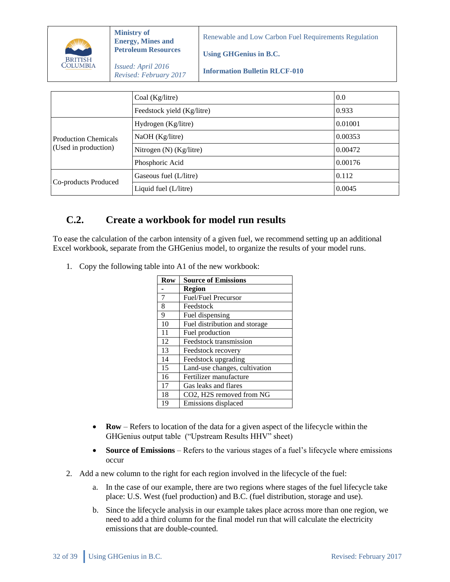

**Using GHGenius in B.C.**

*Issued: April 2016 Revised: February 2017*

**Information Bulletin RLCF-010**

|                             | Coal (Kg/litre)            | 0.0     |
|-----------------------------|----------------------------|---------|
|                             | Feedstock yield (Kg/litre) |         |
| <b>Production Chemicals</b> | Hydrogen (Kg/litre)        | 0.01001 |
|                             | NaOH (Kg/litre)            | 0.00353 |
| (Used in production)        | Nitrogen $(N)$ (Kg/litre)  | 0.00472 |
|                             | Phosphoric Acid            | 0.00176 |
| Co-products Produced        | Gaseous fuel (L/litre)     | 0.112   |
|                             | Liquid fuel (L/litre)      | 0.0045  |

# <span id="page-31-0"></span>**C.2. Create a workbook for model run results**

To ease the calculation of the carbon intensity of a given fuel, we recommend setting up an additional Excel workbook, separate from the GHGenius model, to organize the results of your model runs.

1. Copy the following table into A1 of the new workbook:

| Row | <b>Source of Emissions</b>    |
|-----|-------------------------------|
|     | Region                        |
| 7   | Fuel/Fuel Precursor           |
| 8   | Feedstock                     |
| 9   | Fuel dispensing               |
| 10  | Fuel distribution and storage |
| 11  | Fuel production               |
| 12  | Feedstock transmission        |
| 13  | Feedstock recovery            |
| 14  | Feedstock upgrading           |
| 15  | Land-use changes, cultivation |
| 16  | Fertilizer manufacture        |
| 17  | Gas leaks and flares          |
| 18  | CO2, H2S removed from NG      |
| 19  | Emissions displaced           |

- **Row** Refers to location of the data for a given aspect of the lifecycle within the GHGenius output table ("Upstream Results HHV" sheet)
- Source of Emissions Refers to the various stages of a fuel's lifecycle where emissions occur
- 2. Add a new column to the right for each region involved in the lifecycle of the fuel:
	- a. In the case of our example, there are two regions where stages of the fuel lifecycle take place: U.S. West (fuel production) and B.C. (fuel distribution, storage and use).
	- b. Since the lifecycle analysis in our example takes place across more than one region, we need to add a third column for the final model run that will calculate the electricity emissions that are double-counted.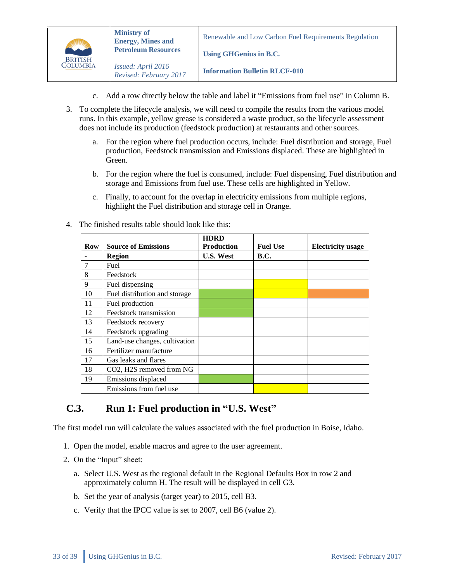

**Using GHGenius in B.C.**

**Information Bulletin RLCF-010**

- c. Add a row directly below the table and label it "Emissions from fuel use" in Column B.
- 3. To complete the lifecycle analysis, we will need to compile the results from the various model runs. In this example, yellow grease is considered a waste product, so the lifecycle assessment does not include its production (feedstock production) at restaurants and other sources.
	- a. For the region where fuel production occurs, include: Fuel distribution and storage, Fuel production, Feedstock transmission and Emissions displaced. These are highlighted in Green.
	- b. For the region where the fuel is consumed, include: Fuel dispensing, Fuel distribution and storage and Emissions from fuel use. These cells are highlighted in Yellow.
	- c. Finally, to account for the overlap in electricity emissions from multiple regions, highlight the Fuel distribution and storage cell in Orange.
- 4. The finished results table should look like this:

|            |                               | <b>HDRD</b>       |                 |                          |
|------------|-------------------------------|-------------------|-----------------|--------------------------|
| <b>Row</b> | <b>Source of Emissions</b>    | <b>Production</b> | <b>Fuel Use</b> | <b>Electricity</b> usage |
|            | <b>Region</b>                 | <b>U.S. West</b>  | <b>B.C.</b>     |                          |
|            | Fuel                          |                   |                 |                          |
| 8          | Feedstock                     |                   |                 |                          |
| 9          | Fuel dispensing               |                   |                 |                          |
| 10         | Fuel distribution and storage |                   |                 |                          |
| 11         | Fuel production               |                   |                 |                          |
| 12         | Feedstock transmission        |                   |                 |                          |
| 13         | Feedstock recovery            |                   |                 |                          |
| 14         | Feedstock upgrading           |                   |                 |                          |
| 15         | Land-use changes, cultivation |                   |                 |                          |
| 16         | Fertilizer manufacture        |                   |                 |                          |
| 17         | Gas leaks and flares          |                   |                 |                          |
| 18         | CO2, H2S removed from NG      |                   |                 |                          |
| 19         | Emissions displaced           |                   |                 |                          |
|            | Emissions from fuel use       |                   |                 |                          |

### <span id="page-32-0"></span>**C.3. Run 1: Fuel production in "U.S. West"**

The first model run will calculate the values associated with the fuel production in Boise, Idaho.

- 1. Open the model, enable macros and agree to the user agreement.
- 2. On the "Input" sheet:
	- a. Select U.S. West as the regional default in the Regional Defaults Box in row 2 and approximately column H. The result will be displayed in cell G3.
	- b. Set the year of analysis (target year) to 2015, cell B3.
	- c. Verify that the IPCC value is set to 2007, cell B6 (value 2).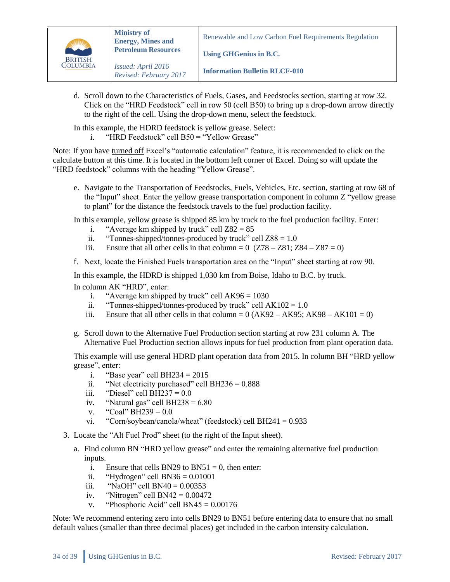

**Using GHGenius in B.C.**

**Information Bulletin RLCF-010**

d. Scroll down to the Characteristics of Fuels, Gases, and Feedstocks section, starting at row 32. Click on the "HRD Feedstock" cell in row 50 (cell B50) to bring up a drop-down arrow directly to the right of the cell. Using the drop-down menu, select the feedstock.

In this example, the HDRD feedstock is yellow grease. Select:

i. "HRD Feedstock" cell B50 = "Yellow Grease"

Note: If you have turned off Excel's "automatic calculation" feature, it is recommended to click on the calculate button at this time. It is located in the bottom left corner of Excel. Doing so will update the "HRD feedstock" columns with the heading "Yellow Grease".

e. Navigate to the Transportation of Feedstocks, Fuels, Vehicles, Etc. section, starting at row 68 of the "Input" sheet. Enter the yellow grease transportation component in column Z "yellow grease to plant" for the distance the feedstock travels to the fuel production facility.

In this example, yellow grease is shipped 85 km by truck to the fuel production facility. Enter:

- i. "Average km shipped by truck" cell  $Z82 = 85$
- ii. "Tonnes-shipped/tonnes-produced by truck" cell  $Z88 = 1.0$
- iii. Ensure that all other cells in that column =  $0$  (Z78 Z81; Z84 Z87 = 0)
- f. Next, locate the Finished Fuels transportation area on the "Input" sheet starting at row 90.

In this example, the HDRD is shipped 1,030 km from Boise, Idaho to B.C. by truck.

In column AK "HRD", enter:

- i. "Average km shipped by truck" cell  $AK96 = 1030$
- ii. "Tonnes-shipped/tonnes-produced by truck" cell  $AK102 = 1.0$
- iii. Ensure that all other cells in that column =  $0(AK92 AK95; AK98 AK101 = 0)$
- g. Scroll down to the Alternative Fuel Production section starting at row 231 column A. The Alternative Fuel Production section allows inputs for fuel production from plant operation data.

This example will use general HDRD plant operation data from 2015. In column BH "HRD yellow grease", enter:

- i. "Base year" cell BH234 =  $2015$
- ii. "Net electricity purchased" cell BH236 =  $0.888$
- iii. "Diesel" cell BH237 =  $0.0$
- iv. "Natural gas" cell BH238 =  $6.80$
- v. "Coal" BH239 =  $0.0$
- vi. "Corn/soybean/canola/wheat" (feedstock) cell BH241 =  $0.933$
- 3. Locate the "Alt Fuel Prod" sheet (to the right of the Input sheet).
	- a. Find column BN "HRD yellow grease" and enter the remaining alternative fuel production inputs.
		- i. Ensure that cells BN29 to BN51 = 0, then enter:
		- ii. "Hydrogen" cell BN36 =  $0.01001$
		- iii. "NaOH" cell  $BN40 = 0.00353$
		- iv. "Nitrogen" cell  $BN42 = 0.00472$
		- v. "Phosphoric Acid" cell  $BN45 = 0.00176$

Note: We recommend entering zero into cells BN29 to BN51 before entering data to ensure that no small default values (smaller than three decimal places) get included in the carbon intensity calculation.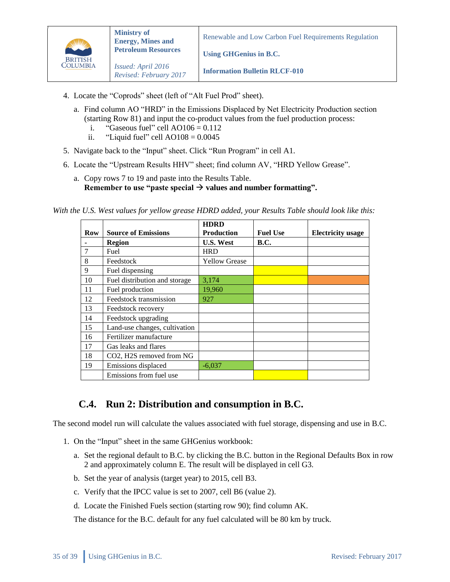

**Using GHGenius in B.C.**

**Information Bulletin RLCF-010**

- 4. Locate the "Coprods" sheet (left of "Alt Fuel Prod" sheet).
	- a. Find column AO "HRD" in the Emissions Displaced by Net Electricity Production section (starting Row 81) and input the co-product values from the fuel production process:
		- i. "Gaseous fuel" cell  $AO106 = 0.112$
		- ii. "Liquid fuel" cell  $AO108 = 0.0045$
- 5. Navigate back to the "Input" sheet. Click "Run Program" in cell A1.
- 6. Locate the "Upstream Results HHV" sheet; find column AV, "HRD Yellow Grease".
	- a. Copy rows 7 to 19 and paste into the Results Table. **Remember to use "paste special**  $\rightarrow$  **values and number formatting".**

*With the U.S. West values for yellow grease HDRD added, your Results Table should look like this:*

|     |                               | <b>HDRD</b>          |                 |                          |
|-----|-------------------------------|----------------------|-----------------|--------------------------|
| Row | <b>Source of Emissions</b>    | <b>Production</b>    | <b>Fuel Use</b> | <b>Electricity</b> usage |
|     | <b>Region</b>                 | <b>U.S. West</b>     | <b>B.C.</b>     |                          |
|     | Fuel                          | <b>HRD</b>           |                 |                          |
| 8   | Feedstock                     | <b>Yellow Grease</b> |                 |                          |
| 9   | Fuel dispensing               |                      |                 |                          |
| 10  | Fuel distribution and storage | 3,174                |                 |                          |
| 11  | Fuel production               | 19,960               |                 |                          |
| 12  | Feedstock transmission        | 927                  |                 |                          |
| 13  | Feedstock recovery            |                      |                 |                          |
| 14  | Feedstock upgrading           |                      |                 |                          |
| 15  | Land-use changes, cultivation |                      |                 |                          |
| 16  | Fertilizer manufacture        |                      |                 |                          |
| 17  | Gas leaks and flares          |                      |                 |                          |
| 18  | CO2, H2S removed from NG      |                      |                 |                          |
| 19  | Emissions displaced           | $-6.037$             |                 |                          |
|     | Emissions from fuel use       |                      |                 |                          |

### <span id="page-34-0"></span>**C.4. Run 2: Distribution and consumption in B.C.**

The second model run will calculate the values associated with fuel storage, dispensing and use in B.C.

- 1. On the "Input" sheet in the same GHGenius workbook:
	- a. Set the regional default to B.C. by clicking the B.C. button in the Regional Defaults Box in row 2 and approximately column E. The result will be displayed in cell G3.
	- b. Set the year of analysis (target year) to 2015, cell B3.
	- c. Verify that the IPCC value is set to 2007, cell B6 (value 2).
	- d. Locate the Finished Fuels section (starting row 90); find column AK.

The distance for the B.C. default for any fuel calculated will be 80 km by truck.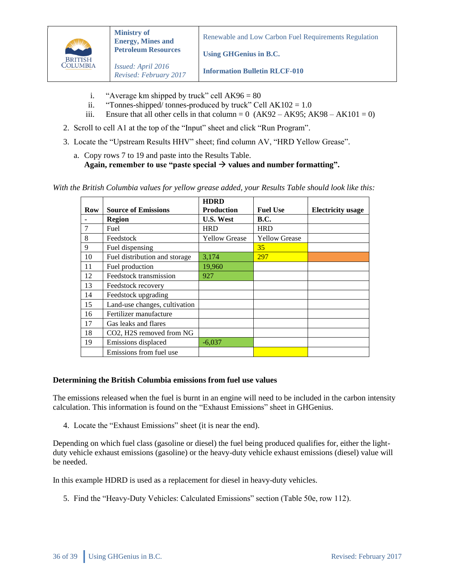

**Using GHGenius in B.C.**

*Issued: April 2016 Revised: February 2017*

**Information Bulletin RLCF-010**

- i. "Average km shipped by truck" cell  $AK96 = 80$
- ii. "Tonnes-shipped/ tonnes-produced by truck" Cell  $AK102 = 1.0$
- iii. Ensure that all other cells in that column =  $0$  (AK92 AK95; AK98 AK101 = 0)
- 2. Scroll to cell A1 at the top of the "Input" sheet and click "Run Program".
- 3. Locate the "Upstream Results HHV" sheet; find column AV, "HRD Yellow Grease".
	- a. Copy rows 7 to 19 and paste into the Results Table. Again, remember to use "paste special  $\rightarrow$  values and number formatting".

*With the British Columbia values for yellow grease added, your Results Table should look like this:*

|     |                               | <b>HDRD</b>          |                      |                          |
|-----|-------------------------------|----------------------|----------------------|--------------------------|
| Row | <b>Source of Emissions</b>    | <b>Production</b>    | <b>Fuel Use</b>      | <b>Electricity</b> usage |
|     | <b>Region</b>                 | <b>U.S. West</b>     | <b>B.C.</b>          |                          |
|     | Fuel                          | <b>HRD</b>           | <b>HRD</b>           |                          |
| 8   | Feedstock                     | <b>Yellow Grease</b> | <b>Yellow Grease</b> |                          |
| 9   | Fuel dispensing               |                      | 35                   |                          |
| 10  | Fuel distribution and storage | 3,174                | 297                  |                          |
| 11  | Fuel production               | 19,960               |                      |                          |
| 12  | Feedstock transmission        | 927                  |                      |                          |
| 13  | Feedstock recovery            |                      |                      |                          |
| 14  | Feedstock upgrading           |                      |                      |                          |
| 15  | Land-use changes, cultivation |                      |                      |                          |
| 16  | Fertilizer manufacture        |                      |                      |                          |
| 17  | Gas leaks and flares          |                      |                      |                          |
| 18  | CO2, H2S removed from NG      |                      |                      |                          |
| 19  | Emissions displaced           | $-6,037$             |                      |                          |
|     | Emissions from fuel use       |                      |                      |                          |

#### **Determining the British Columbia emissions from fuel use values**

The emissions released when the fuel is burnt in an engine will need to be included in the carbon intensity calculation. This information is found on the "Exhaust Emissions" sheet in GHGenius.

4. Locate the "Exhaust Emissions" sheet (it is near the end).

Depending on which fuel class (gasoline or diesel) the fuel being produced qualifies for, either the lightduty vehicle exhaust emissions (gasoline) or the heavy-duty vehicle exhaust emissions (diesel) value will be needed.

In this example HDRD is used as a replacement for diesel in heavy-duty vehicles.

5. Find the "Heavy-Duty Vehicles: Calculated Emissions" section (Table 50e, row 112).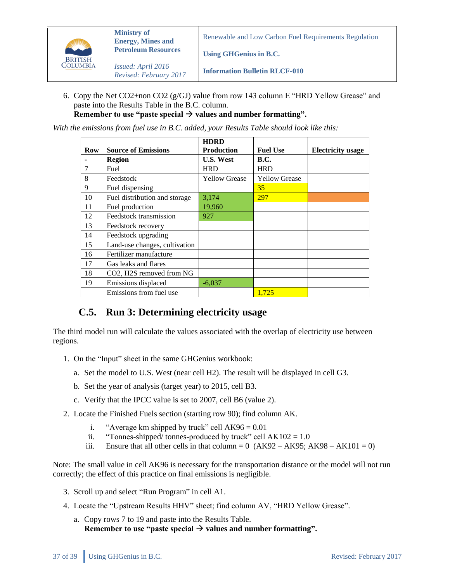

**Using GHGenius in B.C.**

*Issued: April 2016 Revised: February 2017*

**Information Bulletin RLCF-010**

6. Copy the Net CO2+non CO2 ( $g/GJ$ ) value from row 143 column E "HRD Yellow Grease" and paste into the Results Table in the B.C. column.

Remember to use "paste special  $\rightarrow$  values and number formatting".

*With the emissions from fuel use in B.C. added, your Results Table should look like this:* 

|     |                               | <b>HDRD</b>          |                      |                          |
|-----|-------------------------------|----------------------|----------------------|--------------------------|
| Row | <b>Source of Emissions</b>    | <b>Production</b>    | <b>Fuel Use</b>      | <b>Electricity</b> usage |
|     | <b>Region</b>                 | <b>U.S. West</b>     | <b>B.C.</b>          |                          |
| 7   | Fuel                          | <b>HRD</b>           | <b>HRD</b>           |                          |
| 8   | Feedstock                     | <b>Yellow Grease</b> | <b>Yellow Grease</b> |                          |
| 9   | Fuel dispensing               |                      | 35                   |                          |
| 10  | Fuel distribution and storage | 3,174                | 297                  |                          |
| 11  | Fuel production               | 19,960               |                      |                          |
| 12  | Feedstock transmission        | 927                  |                      |                          |
| 13  | Feedstock recovery            |                      |                      |                          |
| 14  | Feedstock upgrading           |                      |                      |                          |
| 15  | Land-use changes, cultivation |                      |                      |                          |
| 16  | Fertilizer manufacture        |                      |                      |                          |
| 17  | Gas leaks and flares          |                      |                      |                          |
| 18  | CO2, H2S removed from NG      |                      |                      |                          |
| 19  | Emissions displaced           | $-6,037$             |                      |                          |
|     | Emissions from fuel use       |                      | 1.725                |                          |

### <span id="page-36-0"></span>**C.5. Run 3: Determining electricity usage**

The third model run will calculate the values associated with the overlap of electricity use between regions.

- 1. On the "Input" sheet in the same GHGenius workbook:
	- a. Set the model to U.S. West (near cell H2). The result will be displayed in cell G3.
	- b. Set the year of analysis (target year) to 2015, cell B3.
	- c. Verify that the IPCC value is set to 2007, cell B6 (value 2).
- 2. Locate the Finished Fuels section (starting row 90); find column AK.
	- i. "Average km shipped by truck" cell  $AK96 = 0.01$
	- ii. "Tonnes-shipped/ tonnes-produced by truck" cell  $AK102 = 1.0$
	- iii. Ensure that all other cells in that column =  $0$  (AK92 AK95; AK98 AK101 = 0)

Note: The small value in cell AK96 is necessary for the transportation distance or the model will not run correctly; the effect of this practice on final emissions is negligible.

- 3. Scroll up and select "Run Program" in cell A1.
- 4. Locate the "Upstream Results HHV" sheet; find column AV, "HRD Yellow Grease".
	- a. Copy rows 7 to 19 and paste into the Results Table. Remember to use "paste special  $\rightarrow$  values and number formatting".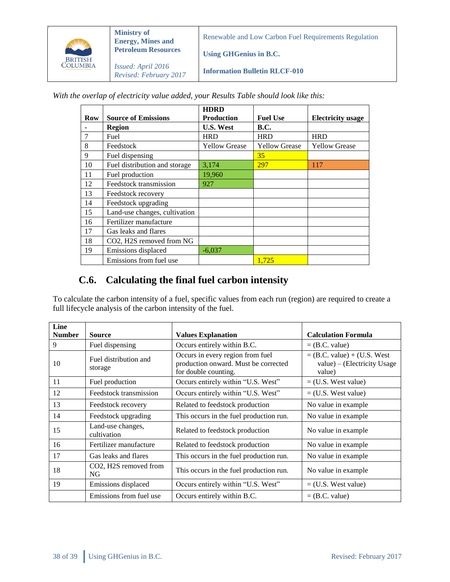

**Ministry of Energy, Mines and Petroleum Resources** *Issued: April 2016*

Renewable and Low Carbon Fuel Requirements Regulation

**Using GHGenius in B.C.**

*Revised: February 2017* **Information Bulletin RLCF-010**

*With the overlap of electricity value added, your Results Table should look like this:*

|     |                               | <b>HDRD</b>          |                      |                          |
|-----|-------------------------------|----------------------|----------------------|--------------------------|
| Row | <b>Source of Emissions</b>    | <b>Production</b>    | <b>Fuel Use</b>      | <b>Electricity</b> usage |
|     | <b>Region</b>                 | <b>U.S. West</b>     | <b>B.C.</b>          |                          |
| 7   | Fuel                          | <b>HRD</b>           | <b>HRD</b>           | <b>HRD</b>               |
| 8   | Feedstock                     | <b>Yellow Grease</b> | <b>Yellow Grease</b> | <b>Yellow Grease</b>     |
| 9   | Fuel dispensing               |                      | 35                   |                          |
| 10  | Fuel distribution and storage | 3,174                | 297                  | 117                      |
| 11  | Fuel production               | 19,960               |                      |                          |
| 12  | Feedstock transmission        | 927                  |                      |                          |
| 13  | Feedstock recovery            |                      |                      |                          |
| 14  | Feedstock upgrading           |                      |                      |                          |
| 15  | Land-use changes, cultivation |                      |                      |                          |
| 16  | Fertilizer manufacture        |                      |                      |                          |
| 17  | Gas leaks and flares          |                      |                      |                          |
| 18  | CO2, H2S removed from NG      |                      |                      |                          |
| 19  | Emissions displaced           | $-6,037$             |                      |                          |
|     | Emissions from fuel use       |                      | 1.725                |                          |

# <span id="page-37-0"></span>**C.6. Calculating the final fuel carbon intensity**

To calculate the carbon intensity of a fuel, specific values from each run (region) are required to create a full lifecycle analysis of the carbon intensity of the fuel.

| Line          |                                  |                                                                                                  |                                                                        |
|---------------|----------------------------------|--------------------------------------------------------------------------------------------------|------------------------------------------------------------------------|
| <b>Number</b> | <b>Source</b>                    | <b>Values Explanation</b>                                                                        | <b>Calculation Formula</b>                                             |
| 9             | Fuel dispensing                  | Occurs entirely within B.C.                                                                      | $=$ (B.C. value)                                                       |
| 10            | Fuel distribution and<br>storage | Occurs in every region from fuel<br>production onward. Must be corrected<br>for double counting. | $=$ (B.C. value) + (U.S. West<br>value) – (Electricity Usage<br>value) |
| 11            | Fuel production                  | Occurs entirely within "U.S. West"                                                               | $=$ (U.S. West value)                                                  |
| 12            | Feedstock transmission           | Occurs entirely within "U.S. West"                                                               | $=$ (U.S. West value)                                                  |
| 13            | Feedstock recovery               | Related to feedstock production                                                                  | No value in example.                                                   |
| 14            | Feedstock upgrading              | This occurs in the fuel production run.                                                          | No value in example.                                                   |
| 15            | Land-use changes,<br>cultivation | Related to feedstock production                                                                  | No value in example.                                                   |
| 16            | Fertilizer manufacture           | Related to feedstock production                                                                  | No value in example                                                    |
| 17            | Gas leaks and flares             | This occurs in the fuel production run.                                                          | No value in example                                                    |
| 18            | CO2, H2S removed from<br>NG.     | This occurs in the fuel production run.                                                          | No value in example.                                                   |
| 19            | Emissions displaced              | Occurs entirely within "U.S. West"                                                               | $=$ (U.S. West value)                                                  |
|               | Emissions from fuel use          | Occurs entirely within B.C.                                                                      | $=$ (B.C. value)                                                       |